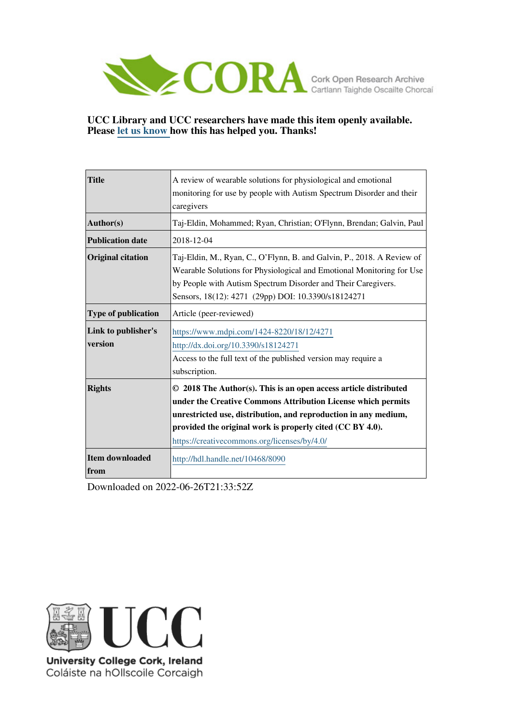

# **UCC Library and UCC researchers have made this item openly available. Please [let us know h](https://libguides.ucc.ie/openaccess/impact?suffix=8090&title=A review of wearable solutions for physiological and emotional monitoring for use by people with Autism Spectrum Disorder and their caregivers)ow this has helped you. Thanks!**

| <b>Title</b>                   | A review of wearable solutions for physiological and emotional<br>monitoring for use by people with Autism Spectrum Disorder and their                                                                                                                                                                                 |
|--------------------------------|------------------------------------------------------------------------------------------------------------------------------------------------------------------------------------------------------------------------------------------------------------------------------------------------------------------------|
|                                | caregivers                                                                                                                                                                                                                                                                                                             |
| Author(s)                      | Taj-Eldin, Mohammed; Ryan, Christian; O'Flynn, Brendan; Galvin, Paul                                                                                                                                                                                                                                                   |
| <b>Publication date</b>        | 2018-12-04                                                                                                                                                                                                                                                                                                             |
| <b>Original citation</b>       | Taj-Eldin, M., Ryan, C., O'Flynn, B. and Galvin, P., 2018. A Review of<br>Wearable Solutions for Physiological and Emotional Monitoring for Use<br>by People with Autism Spectrum Disorder and Their Caregivers.<br>Sensors, 18(12): 4271 (29pp) DOI: 10.3390/s18124271                                                |
| Type of publication            | Article (peer-reviewed)                                                                                                                                                                                                                                                                                                |
| Link to publisher's<br>version | https://www.mdpi.com/1424-8220/18/12/4271<br>http://dx.doi.org/10.3390/s18124271<br>Access to the full text of the published version may require a<br>subscription.                                                                                                                                                    |
| <b>Rights</b>                  | $\odot$ 2018 The Author(s). This is an open access article distributed<br>under the Creative Commons Attribution License which permits<br>unrestricted use, distribution, and reproduction in any medium,<br>provided the original work is properly cited (CC BY 4.0).<br>https://creativecommons.org/licenses/by/4.0/ |
| Item downloaded<br>from        | http://hdl.handle.net/10468/8090                                                                                                                                                                                                                                                                                       |

Downloaded on 2022-06-26T21:33:52Z



University College Cork, Ireland Coláiste na hOllscoile Corcaigh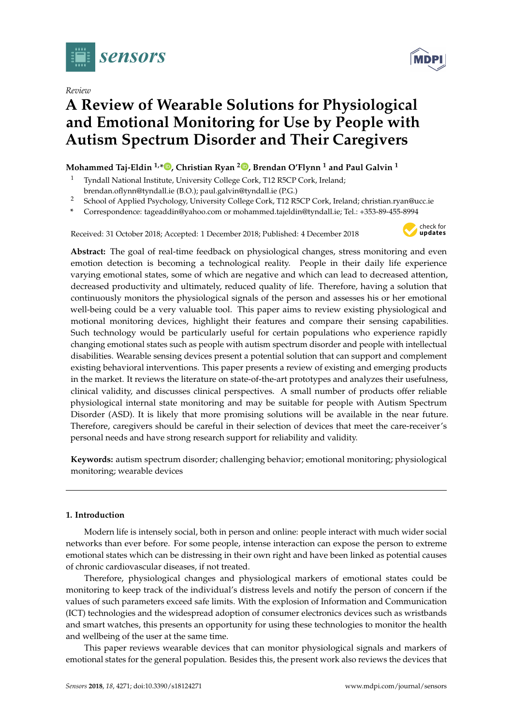

*Review*

# **A Review of Wearable Solutions for Physiological and Emotional Monitoring for Use by People with Autism Spectrum Disorder and Their Caregivers**

# **Mohammed Taj-Eldin 1,[\\*](https://orcid.org/0000-0002-9147-4580) , Christian Ryan <sup>2</sup> [,](https://orcid.org/0000-0003-4940-1377) Brendan O'Flynn <sup>1</sup> and Paul Galvin <sup>1</sup>**

- <sup>1</sup> Tyndall National Institute, University College Cork, T12 R5CP Cork, Ireland;
- brendan.oflynn@tyndall.ie (B.O.); paul.galvin@tyndall.ie (P.G.)
- <sup>2</sup> School of Applied Psychology, University College Cork, T12 R5CP Cork, Ireland; christian.ryan@ucc.ie
- **\*** Correspondence: tageaddin@yahoo.com or mohammed.tajeldin@tyndall.ie; Tel.: +353-89-455-8994

Received: 31 October 2018; Accepted: 1 December 2018; Published: 4 December 2018



**Abstract:** The goal of real-time feedback on physiological changes, stress monitoring and even emotion detection is becoming a technological reality. People in their daily life experience varying emotional states, some of which are negative and which can lead to decreased attention, decreased productivity and ultimately, reduced quality of life. Therefore, having a solution that continuously monitors the physiological signals of the person and assesses his or her emotional well-being could be a very valuable tool. This paper aims to review existing physiological and motional monitoring devices, highlight their features and compare their sensing capabilities. Such technology would be particularly useful for certain populations who experience rapidly changing emotional states such as people with autism spectrum disorder and people with intellectual disabilities. Wearable sensing devices present a potential solution that can support and complement existing behavioral interventions. This paper presents a review of existing and emerging products in the market. It reviews the literature on state-of-the-art prototypes and analyzes their usefulness, clinical validity, and discusses clinical perspectives. A small number of products offer reliable physiological internal state monitoring and may be suitable for people with Autism Spectrum Disorder (ASD). It is likely that more promising solutions will be available in the near future. Therefore, caregivers should be careful in their selection of devices that meet the care-receiver's personal needs and have strong research support for reliability and validity.

**Keywords:** autism spectrum disorder; challenging behavior; emotional monitoring; physiological monitoring; wearable devices

# **1. Introduction**

Modern life is intensely social, both in person and online: people interact with much wider social networks than ever before. For some people, intense interaction can expose the person to extreme emotional states which can be distressing in their own right and have been linked as potential causes of chronic cardiovascular diseases, if not treated.

Therefore, physiological changes and physiological markers of emotional states could be monitoring to keep track of the individual's distress levels and notify the person of concern if the values of such parameters exceed safe limits. With the explosion of Information and Communication (ICT) technologies and the widespread adoption of consumer electronics devices such as wristbands and smart watches, this presents an opportunity for using these technologies to monitor the health and wellbeing of the user at the same time.

This paper reviews wearable devices that can monitor physiological signals and markers of emotional states for the general population. Besides this, the present work also reviews the devices that

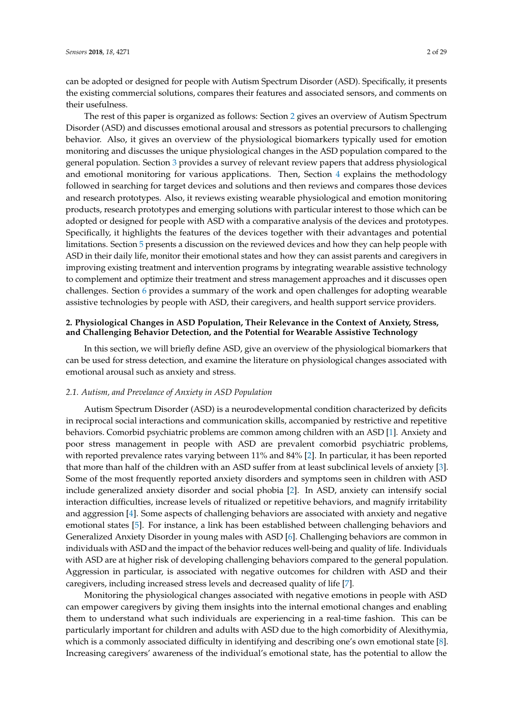can be adopted or designed for people with Autism Spectrum Disorder (ASD). Specifically, it presents the existing commercial solutions, compares their features and associated sensors, and comments on their usefulness.

The rest of this paper is organized as follows: Section [2](#page-2-0) gives an overview of Autism Spectrum Disorder (ASD) and discusses emotional arousal and stressors as potential precursors to challenging behavior. Also, it gives an overview of the physiological biomarkers typically used for emotion monitoring and discusses the unique physiological changes in the ASD population compared to the general population. Section [3](#page-6-0) provides a survey of relevant review papers that address physiological and emotional monitoring for various applications. Then, Section [4](#page-7-0) explains the methodology followed in searching for target devices and solutions and then reviews and compares those devices and research prototypes. Also, it reviews existing wearable physiological and emotion monitoring products, research prototypes and emerging solutions with particular interest to those which can be adopted or designed for people with ASD with a comparative analysis of the devices and prototypes. Specifically, it highlights the features of the devices together with their advantages and potential limitations. Section [5](#page-20-0) presents a discussion on the reviewed devices and how they can help people with ASD in their daily life, monitor their emotional states and how they can assist parents and caregivers in improving existing treatment and intervention programs by integrating wearable assistive technology to complement and optimize their treatment and stress management approaches and it discusses open challenges. Section [6](#page-21-0) provides a summary of the work and open challenges for adopting wearable assistive technologies by people with ASD, their caregivers, and health support service providers.

#### <span id="page-2-0"></span>**2. Physiological Changes in ASD Population, Their Relevance in the Context of Anxiety, Stress, and Challenging Behavior Detection, and the Potential for Wearable Assistive Technology**

In this section, we will briefly define ASD, give an overview of the physiological biomarkers that can be used for stress detection, and examine the literature on physiological changes associated with emotional arousal such as anxiety and stress.

#### *2.1. Autism, and Prevelance of Anxiety in ASD Population*

Autism Spectrum Disorder (ASD) is a neurodevelopmental condition characterized by deficits in reciprocal social interactions and communication skills, accompanied by restrictive and repetitive behaviors. Comorbid psychiatric problems are common among children with an ASD [\[1\]](#page-23-0). Anxiety and poor stress management in people with ASD are prevalent comorbid psychiatric problems, with reported prevalence rates varying between 11% and 84% [\[2\]](#page-23-1). In particular, it has been reported that more than half of the children with an ASD suffer from at least subclinical levels of anxiety [\[3\]](#page-23-2). Some of the most frequently reported anxiety disorders and symptoms seen in children with ASD include generalized anxiety disorder and social phobia [\[2\]](#page-23-1). In ASD, anxiety can intensify social interaction difficulties, increase levels of ritualized or repetitive behaviors, and magnify irritability and aggression [\[4\]](#page-23-3). Some aspects of challenging behaviors are associated with anxiety and negative emotional states [\[5\]](#page-23-4). For instance, a link has been established between challenging behaviors and Generalized Anxiety Disorder in young males with ASD [\[6\]](#page-23-5). Challenging behaviors are common in individuals with ASD and the impact of the behavior reduces well-being and quality of life. Individuals with ASD are at higher risk of developing challenging behaviors compared to the general population. Aggression in particular, is associated with negative outcomes for children with ASD and their caregivers, including increased stress levels and decreased quality of life [\[7\]](#page-23-6).

Monitoring the physiological changes associated with negative emotions in people with ASD can empower caregivers by giving them insights into the internal emotional changes and enabling them to understand what such individuals are experiencing in a real-time fashion. This can be particularly important for children and adults with ASD due to the high comorbidity of Alexithymia, which is a commonly associated difficulty in identifying and describing one's own emotional state [\[8\]](#page-23-7). Increasing caregivers' awareness of the individual's emotional state, has the potential to allow the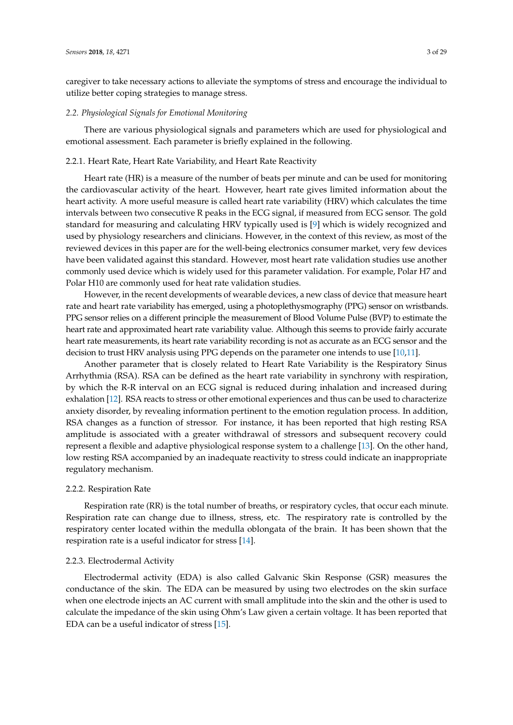caregiver to take necessary actions to alleviate the symptoms of stress and encourage the individual to utilize better coping strategies to manage stress.

#### *2.2. Physiological Signals for Emotional Monitoring*

There are various physiological signals and parameters which are used for physiological and emotional assessment. Each parameter is briefly explained in the following.

#### 2.2.1. Heart Rate, Heart Rate Variability, and Heart Rate Reactivity

Heart rate (HR) is a measure of the number of beats per minute and can be used for monitoring the cardiovascular activity of the heart. However, heart rate gives limited information about the heart activity. A more useful measure is called heart rate variability (HRV) which calculates the time intervals between two consecutive R peaks in the ECG signal, if measured from ECG sensor. The gold standard for measuring and calculating HRV typically used is [\[9\]](#page-23-8) which is widely recognized and used by physiology researchers and clinicians. However, in the context of this review, as most of the reviewed devices in this paper are for the well-being electronics consumer market, very few devices have been validated against this standard. However, most heart rate validation studies use another commonly used device which is widely used for this parameter validation. For example, Polar H7 and Polar H10 are commonly used for heat rate validation studies.

However, in the recent developments of wearable devices, a new class of device that measure heart rate and heart rate variability has emerged, using a photoplethysmography (PPG) sensor on wristbands. PPG sensor relies on a different principle the measurement of Blood Volume Pulse (BVP) to estimate the heart rate and approximated heart rate variability value. Although this seems to provide fairly accurate heart rate measurements, its heart rate variability recording is not as accurate as an ECG sensor and the decision to trust HRV analysis using PPG depends on the parameter one intends to use [\[10,](#page-23-9)[11\]](#page-23-10).

Another parameter that is closely related to Heart Rate Variability is the Respiratory Sinus Arrhythmia (RSA). RSA can be defined as the heart rate variability in synchrony with respiration, by which the R-R interval on an ECG signal is reduced during inhalation and increased during exhalation [\[12\]](#page-23-11). RSA reacts to stress or other emotional experiences and thus can be used to characterize anxiety disorder, by revealing information pertinent to the emotion regulation process. In addition, RSA changes as a function of stressor. For instance, it has been reported that high resting RSA amplitude is associated with a greater withdrawal of stressors and subsequent recovery could represent a flexible and adaptive physiological response system to a challenge [\[13\]](#page-23-12). On the other hand, low resting RSA accompanied by an inadequate reactivity to stress could indicate an inappropriate regulatory mechanism.

#### 2.2.2. Respiration Rate

Respiration rate (RR) is the total number of breaths, or respiratory cycles, that occur each minute. Respiration rate can change due to illness, stress, etc. The respiratory rate is controlled by the respiratory center located within the medulla oblongata of the brain. It has been shown that the respiration rate is a useful indicator for stress [\[14\]](#page-23-13).

#### 2.2.3. Electrodermal Activity

Electrodermal activity (EDA) is also called Galvanic Skin Response (GSR) measures the conductance of the skin. The EDA can be measured by using two electrodes on the skin surface when one electrode injects an AC current with small amplitude into the skin and the other is used to calculate the impedance of the skin using Ohm's Law given a certain voltage. It has been reported that EDA can be a useful indicator of stress [\[15\]](#page-23-14).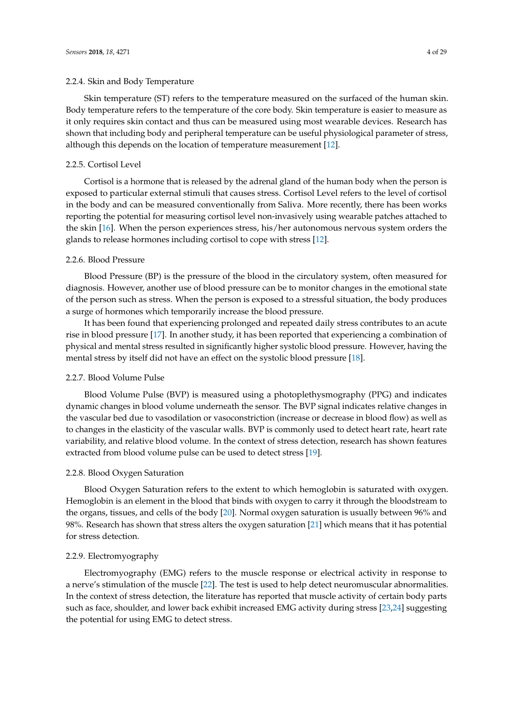## 2.2.4. Skin and Body Temperature

Skin temperature (ST) refers to the temperature measured on the surfaced of the human skin. Body temperature refers to the temperature of the core body. Skin temperature is easier to measure as it only requires skin contact and thus can be measured using most wearable devices. Research has shown that including body and peripheral temperature can be useful physiological parameter of stress, although this depends on the location of temperature measurement [\[12\]](#page-23-11).

# 2.2.5. Cortisol Level

Cortisol is a hormone that is released by the adrenal gland of the human body when the person is exposed to particular external stimuli that causes stress. Cortisol Level refers to the level of cortisol in the body and can be measured conventionally from Saliva. More recently, there has been works reporting the potential for measuring cortisol level non-invasively using wearable patches attached to the skin [\[16\]](#page-23-15). When the person experiences stress, his/her autonomous nervous system orders the glands to release hormones including cortisol to cope with stress [\[12\]](#page-23-11).

## <span id="page-4-0"></span>2.2.6. Blood Pressure

Blood Pressure (BP) is the pressure of the blood in the circulatory system, often measured for diagnosis. However, another use of blood pressure can be to monitor changes in the emotional state of the person such as stress. When the person is exposed to a stressful situation, the body produces a surge of hormones which temporarily increase the blood pressure.

It has been found that experiencing prolonged and repeated daily stress contributes to an acute rise in blood pressure [\[17\]](#page-23-16). In another study, it has been reported that experiencing a combination of physical and mental stress resulted in significantly higher systolic blood pressure. However, having the mental stress by itself did not have an effect on the systolic blood pressure [\[18\]](#page-23-17).

#### 2.2.7. Blood Volume Pulse

Blood Volume Pulse (BVP) is measured using a photoplethysmography (PPG) and indicates dynamic changes in blood volume underneath the sensor. The BVP signal indicates relative changes in the vascular bed due to vasodilation or vasoconstriction (increase or decrease in blood flow) as well as to changes in the elasticity of the vascular walls. BVP is commonly used to detect heart rate, heart rate variability, and relative blood volume. In the context of stress detection, research has shown features extracted from blood volume pulse can be used to detect stress [\[19\]](#page-23-18).

# 2.2.8. Blood Oxygen Saturation

Blood Oxygen Saturation refers to the extent to which hemoglobin is saturated with oxygen. Hemoglobin is an element in the blood that binds with oxygen to carry it through the bloodstream to the organs, tissues, and cells of the body [\[20\]](#page-24-0). Normal oxygen saturation is usually between 96% and 98%. Research has shown that stress alters the oxygen saturation [\[21\]](#page-24-1) which means that it has potential for stress detection.

#### 2.2.9. Electromyography

Electromyography (EMG) refers to the muscle response or electrical activity in response to a nerve's stimulation of the muscle [\[22\]](#page-24-2). The test is used to help detect neuromuscular abnormalities. In the context of stress detection, the literature has reported that muscle activity of certain body parts such as face, shoulder, and lower back exhibit increased EMG activity during stress [\[23](#page-24-3)[,24\]](#page-24-4) suggesting the potential for using EMG to detect stress.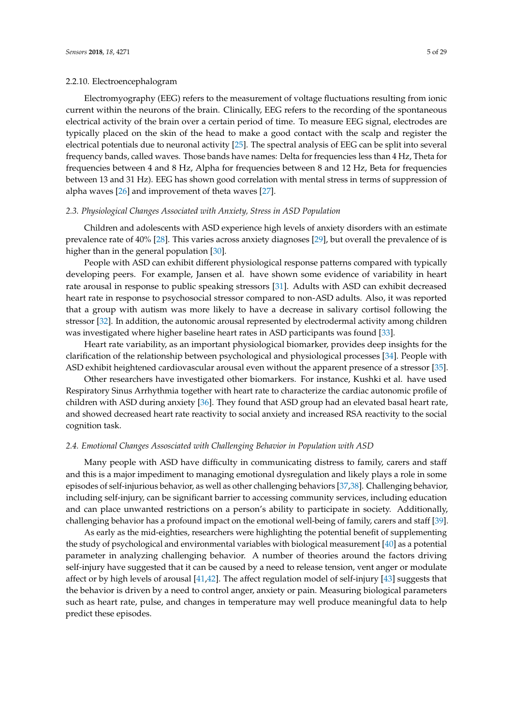#### 2.2.10. Electroencephalogram

Electromyography (EEG) refers to the measurement of voltage fluctuations resulting from ionic current within the neurons of the brain. Clinically, EEG refers to the recording of the spontaneous electrical activity of the brain over a certain period of time. To measure EEG signal, electrodes are typically placed on the skin of the head to make a good contact with the scalp and register the electrical potentials due to neuronal activity [\[25\]](#page-24-5). The spectral analysis of EEG can be split into several frequency bands, called waves. Those bands have names: Delta for frequencies less than 4 Hz, Theta for frequencies between 4 and 8 Hz, Alpha for frequencies between 8 and 12 Hz, Beta for frequencies between 13 and 31 Hz). EEG has shown good correlation with mental stress in terms of suppression of alpha waves [\[26\]](#page-24-6) and improvement of theta waves [\[27\]](#page-24-7).

#### <span id="page-5-0"></span>*2.3. Physiological Changes Associated with Anxiety, Stress in ASD Population*

Children and adolescents with ASD experience high levels of anxiety disorders with an estimate prevalence rate of 40% [\[28\]](#page-24-8). This varies across anxiety diagnoses [\[29\]](#page-24-9), but overall the prevalence of is higher than in the general population [\[30\]](#page-24-10).

People with ASD can exhibit different physiological response patterns compared with typically developing peers. For example, Jansen et al. have shown some evidence of variability in heart rate arousal in response to public speaking stressors [\[31\]](#page-24-11). Adults with ASD can exhibit decreased heart rate in response to psychosocial stressor compared to non-ASD adults. Also, it was reported that a group with autism was more likely to have a decrease in salivary cortisol following the stressor [\[32\]](#page-24-12). In addition, the autonomic arousal represented by electrodermal activity among children was investigated where higher baseline heart rates in ASD participants was found [\[33\]](#page-24-13).

Heart rate variability, as an important physiological biomarker, provides deep insights for the clarification of the relationship between psychological and physiological processes [\[34\]](#page-24-14). People with ASD exhibit heightened cardiovascular arousal even without the apparent presence of a stressor [\[35\]](#page-24-15).

Other researchers have investigated other biomarkers. For instance, Kushki et al. have used Respiratory Sinus Arrhythmia together with heart rate to characterize the cardiac autonomic profile of children with ASD during anxiety [\[36\]](#page-24-16). They found that ASD group had an elevated basal heart rate, and showed decreased heart rate reactivity to social anxiety and increased RSA reactivity to the social cognition task.

#### *2.4. Emotional Changes Assosciated with Challenging Behavior in Population with ASD*

Many people with ASD have difficulty in communicating distress to family, carers and staff and this is a major impediment to managing emotional dysregulation and likely plays a role in some episodes of self-injurious behavior, as well as other challenging behaviors [\[37,](#page-24-17)[38\]](#page-24-18). Challenging behavior, including self-injury, can be significant barrier to accessing community services, including education and can place unwanted restrictions on a person's ability to participate in society. Additionally, challenging behavior has a profound impact on the emotional well-being of family, carers and staff [\[39\]](#page-24-19).

As early as the mid-eighties, researchers were highlighting the potential benefit of supplementing the study of psychological and environmental variables with biological measurement [\[40\]](#page-25-0) as a potential parameter in analyzing challenging behavior. A number of theories around the factors driving self-injury have suggested that it can be caused by a need to release tension, vent anger or modulate affect or by high levels of arousal [\[41](#page-25-1)[,42\]](#page-25-2). The affect regulation model of self-injury [\[43\]](#page-25-3) suggests that the behavior is driven by a need to control anger, anxiety or pain. Measuring biological parameters such as heart rate, pulse, and changes in temperature may well produce meaningful data to help predict these episodes.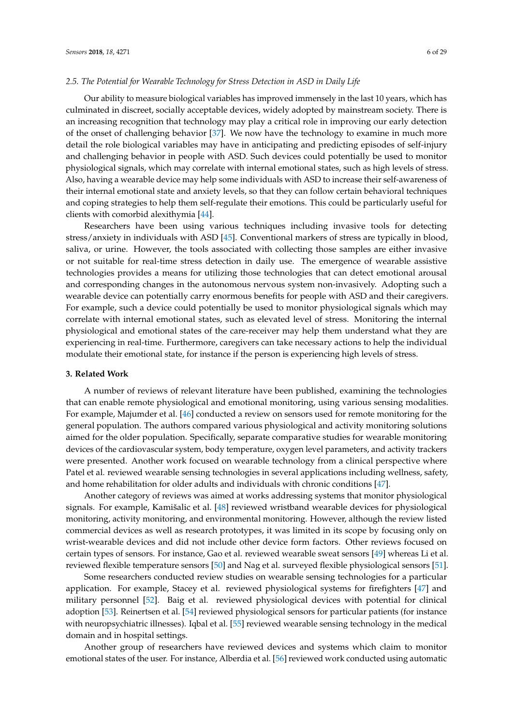#### *2.5. The Potential for Wearable Technology for Stress Detection in ASD in Daily Life*

Our ability to measure biological variables has improved immensely in the last 10 years, which has culminated in discreet, socially acceptable devices, widely adopted by mainstream society. There is an increasing recognition that technology may play a critical role in improving our early detection of the onset of challenging behavior [\[37\]](#page-24-17). We now have the technology to examine in much more detail the role biological variables may have in anticipating and predicting episodes of self-injury and challenging behavior in people with ASD. Such devices could potentially be used to monitor physiological signals, which may correlate with internal emotional states, such as high levels of stress. Also, having a wearable device may help some individuals with ASD to increase their self-awareness of their internal emotional state and anxiety levels, so that they can follow certain behavioral techniques and coping strategies to help them self-regulate their emotions. This could be particularly useful for clients with comorbid alexithymia [\[44\]](#page-25-4).

Researchers have been using various techniques including invasive tools for detecting stress/anxiety in individuals with ASD [\[45\]](#page-25-5). Conventional markers of stress are typically in blood, saliva, or urine. However, the tools associated with collecting those samples are either invasive or not suitable for real-time stress detection in daily use. The emergence of wearable assistive technologies provides a means for utilizing those technologies that can detect emotional arousal and corresponding changes in the autonomous nervous system non-invasively. Adopting such a wearable device can potentially carry enormous benefits for people with ASD and their caregivers. For example, such a device could potentially be used to monitor physiological signals which may correlate with internal emotional states, such as elevated level of stress. Monitoring the internal physiological and emotional states of the care-receiver may help them understand what they are experiencing in real-time. Furthermore, caregivers can take necessary actions to help the individual modulate their emotional state, for instance if the person is experiencing high levels of stress.

#### <span id="page-6-0"></span>**3. Related Work**

A number of reviews of relevant literature have been published, examining the technologies that can enable remote physiological and emotional monitoring, using various sensing modalities. For example, Majumder et al. [\[46\]](#page-25-6) conducted a review on sensors used for remote monitoring for the general population. The authors compared various physiological and activity monitoring solutions aimed for the older population. Specifically, separate comparative studies for wearable monitoring devices of the cardiovascular system, body temperature, oxygen level parameters, and activity trackers were presented. Another work focused on wearable technology from a clinical perspective where Patel et al. reviewed wearable sensing technologies in several applications including wellness, safety, and home rehabilitation for older adults and individuals with chronic conditions [\[47\]](#page-25-7).

Another category of reviews was aimed at works addressing systems that monitor physiological signals. For example, Kamišalic et al. [\[48\]](#page-25-8) reviewed wristband wearable devices for physiological monitoring, activity monitoring, and environmental monitoring. However, although the review listed commercial devices as well as research prototypes, it was limited in its scope by focusing only on wrist-wearable devices and did not include other device form factors. Other reviews focused on certain types of sensors. For instance, Gao et al. reviewed wearable sweat sensors [\[49\]](#page-25-9) whereas Li et al. reviewed flexible temperature sensors [\[50\]](#page-25-10) and Nag et al. surveyed flexible physiological sensors [\[51\]](#page-25-11).

Some researchers conducted review studies on wearable sensing technologies for a particular application. For example, Stacey et al. reviewed physiological systems for firefighters [\[47\]](#page-25-7) and military personnel [\[52\]](#page-25-12). Baig et al. reviewed physiological devices with potential for clinical adoption [\[53\]](#page-25-13). Reinertsen et al. [\[54\]](#page-25-14) reviewed physiological sensors for particular patients (for instance with neuropsychiatric illnesses). Iqbal et al. [\[55\]](#page-25-15) reviewed wearable sensing technology in the medical domain and in hospital settings.

Another group of researchers have reviewed devices and systems which claim to monitor emotional states of the user. For instance, Alberdia et al. [\[56\]](#page-25-16) reviewed work conducted using automatic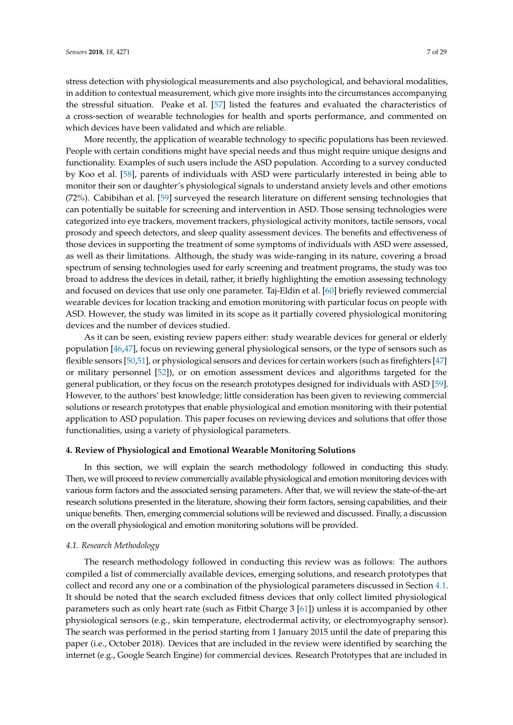stress detection with physiological measurements and also psychological, and behavioral modalities, in addition to contextual measurement, which give more insights into the circumstances accompanying the stressful situation. Peake et al. [\[57\]](#page-25-17) listed the features and evaluated the characteristics of a cross-section of wearable technologies for health and sports performance, and commented on which devices have been validated and which are reliable.

More recently, the application of wearable technology to specific populations has been reviewed. People with certain conditions might have special needs and thus might require unique designs and functionality. Examples of such users include the ASD population. According to a survey conducted by Koo et al. [\[58\]](#page-25-18), parents of individuals with ASD were particularly interested in being able to monitor their son or daughter's physiological signals to understand anxiety levels and other emotions (72%). Cabibihan et al. [\[59\]](#page-25-19) surveyed the research literature on different sensing technologies that can potentially be suitable for screening and intervention in ASD. Those sensing technologies were categorized into eye trackers, movement trackers, physiological activity monitors, tactile sensors, vocal prosody and speech detectors, and sleep quality assessment devices. The benefits and effectiveness of those devices in supporting the treatment of some symptoms of individuals with ASD were assessed, as well as their limitations. Although, the study was wide-ranging in its nature, covering a broad spectrum of sensing technologies used for early screening and treatment programs, the study was too broad to address the devices in detail, rather, it briefly highlighting the emotion assessing technology and focused on devices that use only one parameter. Taj-Eldin et al. [\[60\]](#page-25-20) briefly reviewed commercial wearable devices for location tracking and emotion monitoring with particular focus on people with ASD. However, the study was limited in its scope as it partially covered physiological monitoring devices and the number of devices studied.

As it can be seen, existing review papers either: study wearable devices for general or elderly population [\[46](#page-25-6)[,47\]](#page-25-7), focus on reviewing general physiological sensors, or the type of sensors such as flexible sensors [\[50](#page-25-10)[,51\]](#page-25-11), or physiological sensors and devices for certain workers (such as firefighters [\[47\]](#page-25-7) or military personnel [\[52\]](#page-25-12)), or on emotion assessment devices and algorithms targeted for the general publication, or they focus on the research prototypes designed for individuals with ASD [\[59\]](#page-25-19). However, to the authors' best knowledge; little consideration has been given to reviewing commercial solutions or research prototypes that enable physiological and emotion monitoring with their potential application to ASD population. This paper focuses on reviewing devices and solutions that offer those functionalities, using a variety of physiological parameters.

#### <span id="page-7-0"></span>**4. Review of Physiological and Emotional Wearable Monitoring Solutions**

In this section, we will explain the search methodology followed in conducting this study. Then, we will proceed to review commercially available physiological and emotion monitoring devices with various form factors and the associated sensing parameters. After that, we will review the state-of-the-art research solutions presented in the literature, showing their form factors, sensing capabilities, and their unique benefits. Then, emerging commercial solutions will be reviewed and discussed. Finally, a discussion on the overall physiological and emotion monitoring solutions will be provided.

#### <span id="page-7-1"></span>*4.1. Research Methodology*

The research methodology followed in conducting this review was as follows: The authors compiled a list of commercially available devices, emerging solutions, and research prototypes that collect and record any one or a combination of the physiological parameters discussed in Section [4.1.](#page-7-1) It should be noted that the search excluded fitness devices that only collect limited physiological parameters such as only heart rate (such as Fitbit Charge 3 [\[61\]](#page-25-21)) unless it is accompanied by other physiological sensors (e.g., skin temperature, electrodermal activity, or electromyography sensor). The search was performed in the period starting from 1 January 2015 until the date of preparing this paper (i.e., October 2018). Devices that are included in the review were identified by searching the internet (e.g., Google Search Engine) for commercial devices. Research Prototypes that are included in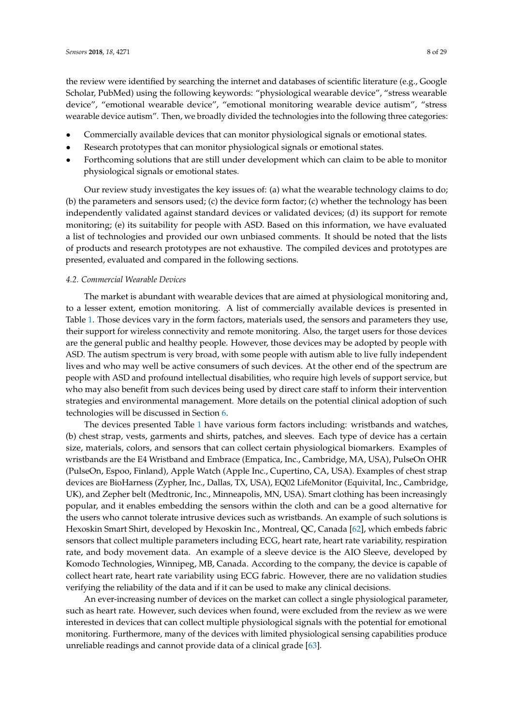the review were identified by searching the internet and databases of scientific literature (e.g., Google Scholar, PubMed) using the following keywords: "physiological wearable device", "stress wearable device", "emotional wearable device", "emotional monitoring wearable device autism", "stress wearable device autism". Then, we broadly divided the technologies into the following three categories:

- Commercially available devices that can monitor physiological signals or emotional states.
- Research prototypes that can monitor physiological signals or emotional states.
- Forthcoming solutions that are still under development which can claim to be able to monitor physiological signals or emotional states.

Our review study investigates the key issues of: (a) what the wearable technology claims to do; (b) the parameters and sensors used; (c) the device form factor; (c) whether the technology has been independently validated against standard devices or validated devices; (d) its support for remote monitoring; (e) its suitability for people with ASD. Based on this information, we have evaluated a list of technologies and provided our own unbiased comments. It should be noted that the lists of products and research prototypes are not exhaustive. The compiled devices and prototypes are presented, evaluated and compared in the following sections.

#### <span id="page-8-0"></span>*4.2. Commercial Wearable Devices*

The market is abundant with wearable devices that are aimed at physiological monitoring and, to a lesser extent, emotion monitoring. A list of commercially available devices is presented in Table [1.](#page-10-0) Those devices vary in the form factors, materials used, the sensors and parameters they use, their support for wireless connectivity and remote monitoring. Also, the target users for those devices are the general public and healthy people. However, those devices may be adopted by people with ASD. The autism spectrum is very broad, with some people with autism able to live fully independent lives and who may well be active consumers of such devices. At the other end of the spectrum are people with ASD and profound intellectual disabilities, who require high levels of support service, but who may also benefit from such devices being used by direct care staff to inform their intervention strategies and environmental management. More details on the potential clinical adoption of such technologies will be discussed in Section [6.](#page-21-0)

The devices presented Table [1](#page-10-0) have various form factors including: wristbands and watches, (b) chest strap, vests, garments and shirts, patches, and sleeves. Each type of device has a certain size, materials, colors, and sensors that can collect certain physiological biomarkers. Examples of wristbands are the E4 Wristband and Embrace (Empatica, Inc., Cambridge, MA, USA), PulseOn OHR (PulseOn, Espoo, Finland), Apple Watch (Apple Inc., Cupertino, CA, USA). Examples of chest strap devices are BioHarness (Zypher, Inc., Dallas, TX, USA), EQ02 LifeMonitor (Equivital, Inc., Cambridge, UK), and Zepher belt (Medtronic, Inc., Minneapolis, MN, USA). Smart clothing has been increasingly popular, and it enables embedding the sensors within the cloth and can be a good alternative for the users who cannot tolerate intrusive devices such as wristbands. An example of such solutions is Hexoskin Smart Shirt, developed by Hexoskin Inc., Montreal, QC, Canada [\[62\]](#page-25-22), which embeds fabric sensors that collect multiple parameters including ECG, heart rate, heart rate variability, respiration rate, and body movement data. An example of a sleeve device is the AIO Sleeve, developed by Komodo Technologies, Winnipeg, MB, Canada. According to the company, the device is capable of collect heart rate, heart rate variability using ECG fabric. However, there are no validation studies verifying the reliability of the data and if it can be used to make any clinical decisions.

An ever-increasing number of devices on the market can collect a single physiological parameter, such as heart rate. However, such devices when found, were excluded from the review as we were interested in devices that can collect multiple physiological signals with the potential for emotional monitoring. Furthermore, many of the devices with limited physiological sensing capabilities produce unreliable readings and cannot provide data of a clinical grade [\[63\]](#page-25-23).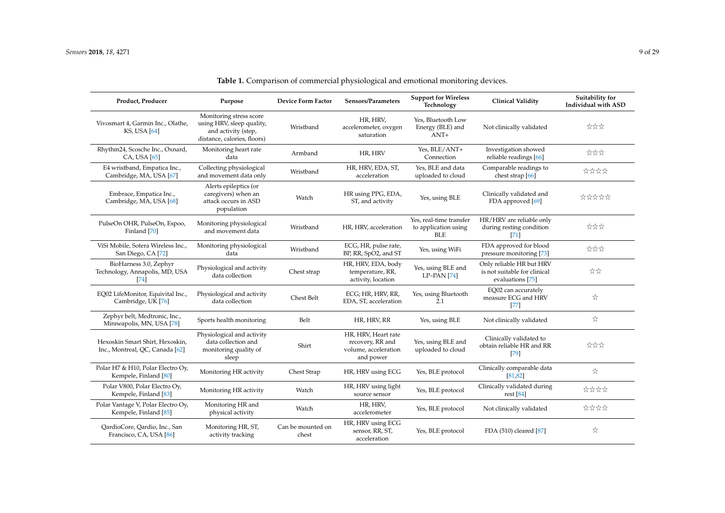| Product, Producer                                                  | Purpose                                                                                                    | <b>Device Form Factor</b>  | Sensors/Parameters                                                           | <b>Support for Wireless</b><br>Technology                     | <b>Clinical Validity</b>                                                     | Suitability for<br>Individual with ASD |
|--------------------------------------------------------------------|------------------------------------------------------------------------------------------------------------|----------------------------|------------------------------------------------------------------------------|---------------------------------------------------------------|------------------------------------------------------------------------------|----------------------------------------|
| Vivosmart 4, Garmin Inc., Olathe,<br><b>KS, USA [64]</b>           | Monitoring stress score<br>using HRV, sleep quality,<br>and activity (step,<br>distance, calories, floors) | Wristband                  | HR, HRV,<br>accelerometer, oxygen<br>saturation                              | Yes, Bluetooth Low<br>Energy (BLE) and<br>$ANT+$              | Not clinically validated                                                     | ☆☆☆                                    |
| Rhythm24, Scosche Inc., Oxnard,<br>CA, USA [65]                    | Monitoring heart rate<br>data                                                                              | Armband                    | HR, HRV                                                                      | Yes, BLE/ANT+<br>Connection                                   | Investigation showed<br>reliable readings [66]                               | ****                                   |
| E4 wristband, Empatica Inc.,<br>Cambridge, MA, USA [67]            | Collecting physiological<br>and movement data only                                                         | Wristband                  | HR, HRV, EDA, ST,<br>acceleration                                            | Yes. BLE and data<br>uploaded to cloud                        | Comparable readings to<br>chest strap [66]                                   | ****                                   |
| Embrace, Empatica Inc.,<br>Cambridge, MA, USA [68]                 | Alerts epileptics (or<br>caregivers) when an<br>attack occurs in ASD<br>population                         | Watch                      | HR using PPG, EDA,<br>ST, and activity                                       | Yes, using BLE                                                | Clinically validated and<br>FDA approved [69]                                | *****                                  |
| PulseOn OHR, PulseOn, Espoo,<br>Finland [70]                       | Monitoring physiological<br>and movement data                                                              | Wristband                  | HR, HRV, acceleration                                                        | Yes, real-time transfer<br>to application using<br><b>BLE</b> | HR/HRV are reliable only<br>during resting condition<br>[71]                 | ☆☆☆                                    |
| ViSi Mobile, Sotera Wireless Inc.,<br>San Diego, CA [72]           | Monitoring physiological<br>data                                                                           | Wristband                  | ECG, HR, pulse rate,<br>BP, RR, SpO2, and ST                                 | Yes, using WiFi                                               | FDA approved for blood<br>pressure monitoring [73]                           | ☆☆☆                                    |
| BioHarness 3.0, Zephyr<br>Technology, Annapolis, MD, USA<br>[74]   | Physiological and activity<br>data collection                                                              | Chest strap                | HR, HRV, EDA, body<br>temperature, RR,<br>activity, location                 | Yes, using BLE and<br>$LP-PAN [74]$                           | Only reliable HR but HRV<br>is not suitable for clinical<br>evaluations [75] | ☆☆                                     |
| EQ02 LifeMonitor, Equivital Inc.,<br>Cambridge, UK [76]            | Physiological and activity<br>data collection                                                              | <b>Chest Belt</b>          | ECG; HR, HRV, RR,<br>EDA, ST, acceleration                                   | Yes, using Bluetooth<br>2.1                                   | EQ02 can accurately<br>measure ECG and HRV<br>[77]                           | ☆                                      |
| Zephyr belt, Medtronic, Inc.,<br>Minneapolis, MN, USA [78]         | Sports health monitoring                                                                                   | Belt                       | HR, HRV, RR                                                                  | Yes, using BLE                                                | Not clinically validated                                                     | ☆                                      |
| Hexoskin Smart Shirt, Hexoskin,<br>Inc., Montreal, QC, Canada [62] | Physiological and activity<br>data collection and<br>monitoring quality of<br>sleep                        | Shirt                      | HR, HRV, Heart rate<br>recovery, RR and<br>volume, acceleration<br>and power | Yes, using BLE and<br>uploaded to cloud                       | Clinically validated to<br>obtain reliable HR and RR<br>[79]                 | ☆☆☆                                    |
| Polar H7 & H10, Polar Electro Oy,<br>Kempele, Finland [80]         | Monitoring HR activity                                                                                     | Chest Strap                | HR, HRV using ECG                                                            | Yes, BLE protocol                                             | Clinically comparable data<br>[81, 82]                                       | ☆                                      |
| Polar V800, Polar Electro Oy,<br>Kempele, Finland [83]             | Monitoring HR activity                                                                                     | Watch                      | HR, HRV using light<br>source sensor                                         | Yes, BLE protocol                                             | Clinically validated during<br>rest $[84]$                                   | ☆☆☆☆                                   |
| Polar Vantage V, Polar Electro Oy,<br>Kempele, Finland [85]        | Monitoring HR and<br>physical activity                                                                     | Watch                      | HR, HRV,<br>accelerometer                                                    | Yes, BLE protocol                                             | Not clinically validated                                                     | ****                                   |
| QardioCore, Qardio, Inc., San<br>Francisco, CA, USA [86]           | Monitoring HR, ST,<br>activity tracking                                                                    | Can be mounted on<br>chest | HR, HRV using ECG<br>sensor, RR, ST,<br>acceleration                         | Yes, BLE protocol                                             | FDA (510) cleared [87]                                                       | ☆                                      |

|  |  |  |  |  |  |  | Table 1. Comparison of commercial physiological and emotional monitoring devices. |
|--|--|--|--|--|--|--|-----------------------------------------------------------------------------------|
|--|--|--|--|--|--|--|-----------------------------------------------------------------------------------|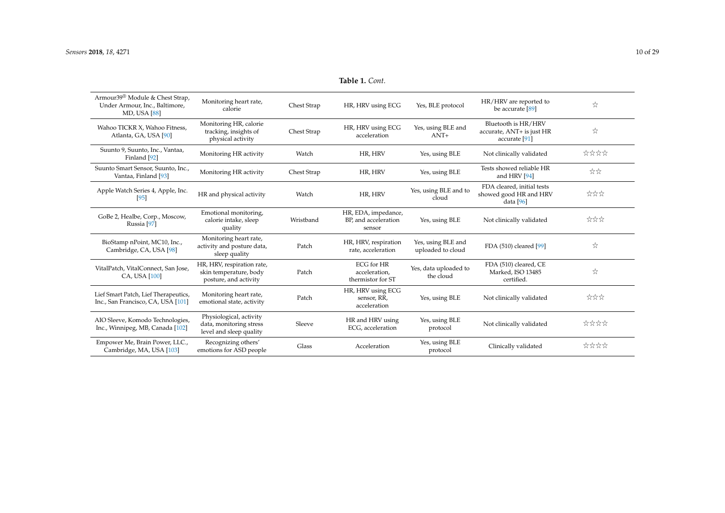<span id="page-10-0"></span>

| Armour39 <sup>®</sup> Module & Chest Strap,<br>Under Armour, Inc., Baltimore,<br><b>MD, USA [88]</b> | Monitoring heart rate,<br>calorie                                             | Chest Strap | HR, HRV using ECG                                     | Yes, BLE protocol                       | HR/HRV are reported to<br>be accurate [89]                        | ☆    |
|------------------------------------------------------------------------------------------------------|-------------------------------------------------------------------------------|-------------|-------------------------------------------------------|-----------------------------------------|-------------------------------------------------------------------|------|
| Wahoo TICKR X, Wahoo Fitness,<br>Atlanta, GA, USA [90]                                               | Monitoring HR, calorie<br>tracking, insights of<br>physical activity          | Chest Strap | HR, HRV using ECG<br>acceleration                     | Yes, using BLE and<br>$ANT+$            | Bluetooth is HR/HRV<br>accurate, ANT+ is just HR<br>accurate [91] | ☆    |
| Suunto 9, Suunto, Inc., Vantaa,<br>Finland [92]                                                      | Monitoring HR activity                                                        | Watch       | HR, HRV                                               | Yes, using BLE                          | Not clinically validated                                          | ☆☆☆☆ |
| Suunto Smart Sensor, Suunto, Inc.,<br>Vantaa, Finland [93]                                           | Monitoring HR activity                                                        | Chest Strap | HR, HRV                                               | Yes, using BLE                          | Tests showed reliable HR<br>and HRV [94]                          | $*$  |
| Apple Watch Series 4, Apple, Inc.<br>[95]                                                            | HR and physical activity                                                      | Watch       | HR, HRV                                               | Yes, using BLE and to<br>cloud          | FDA cleared, initial tests<br>showed good HR and HRV<br>data [96] | ☆☆☆  |
| GoBe 2, Healbe, Corp., Moscow,<br>Russia [97]                                                        | Emotional monitoring,<br>calorie intake, sleep<br>quality                     | Wristband   | HR, EDA, impedance,<br>BP, and acceleration<br>sensor | Yes, using BLE                          | Not clinically validated                                          | ***  |
| BioStamp nPoint, MC10, Inc.,<br>Cambridge, CA, USA [98]                                              | Monitoring heart rate,<br>activity and posture data,<br>sleep quality         | Patch       | HR, HRV, respiration<br>rate, acceleration            | Yes, using BLE and<br>uploaded to cloud | FDA (510) cleared [99]                                            | ☆    |
| VitalPatch, VitalConnect, San Jose,<br>CA, USA [100]                                                 | HR, HRV, respiration rate,<br>skin temperature, body<br>posture, and activity | Patch       | ECG for HR<br>acceleration,<br>thermistor for ST      | Yes, data uploaded to<br>the cloud      | FDA (510) cleared, CE<br>Marked, ISO 13485<br>certified.          | ☆    |
| Lief Smart Patch, Lief Therapeutics,<br>Inc., San Francisco, CA, USA [101]                           | Monitoring heart rate,<br>emotional state, activity                           | Patch       | HR, HRV using ECG<br>sensor, RR,<br>acceleration      | Yes, using BLE                          | Not clinically validated                                          | ☆☆☆  |
| AIO Sleeve, Komodo Technologies,<br>Inc., Winnipeg, MB, Canada [102]                                 | Physiological, activity<br>data, monitoring stress<br>level and sleep quality | Sleeve      | HR and HRV using<br>ECG, acceleration                 | Yes, using BLE<br>protocol              | Not clinically validated                                          | **** |
| Empower Me, Brain Power, LLC.,<br>Cambridge, MA, USA [103]                                           | Recognizing others'<br>emotions for ASD people                                | Glass       | Acceleration                                          | Yes, using BLE<br>protocol              | Clinically validated                                              | ☆☆☆☆ |

**Table 1.** *Cont.*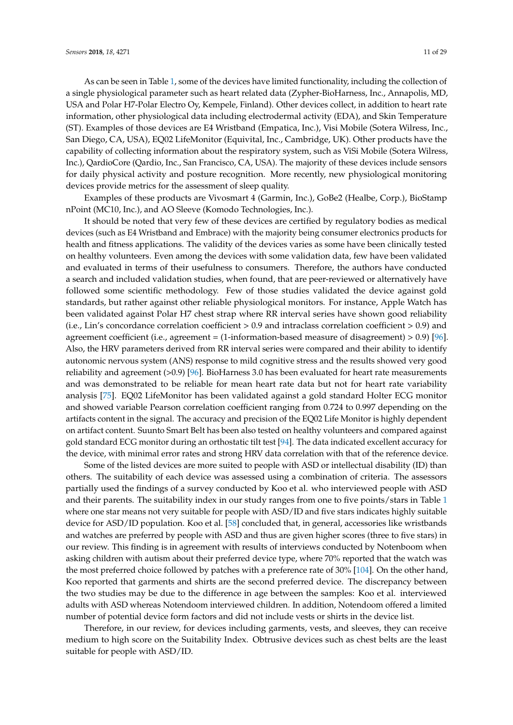As can be seen in Table [1,](#page-10-0) some of the devices have limited functionality, including the collection of a single physiological parameter such as heart related data (Zypher-BioHarness, Inc., Annapolis, MD, USA and Polar H7-Polar Electro Oy, Kempele, Finland). Other devices collect, in addition to heart rate information, other physiological data including electrodermal activity (EDA), and Skin Temperature (ST). Examples of those devices are E4 Wristband (Empatica, Inc.), Visi Mobile (Sotera Wilress, Inc., San Diego, CA, USA), EQ02 LifeMonitor (Equivital, Inc., Cambridge, UK). Other products have the capability of collecting information about the respiratory system, such as ViSi Mobile (Sotera Wilress, Inc.), QardioCore (Qardio, Inc., San Francisco, CA, USA). The majority of these devices include sensors for daily physical activity and posture recognition. More recently, new physiological monitoring devices provide metrics for the assessment of sleep quality.

Examples of these products are Vivosmart 4 (Garmin, Inc.), GoBe2 (Healbe, Corp.), BioStamp nPoint (MC10, Inc.), and AO Sleeve (Komodo Technologies, Inc.).

It should be noted that very few of these devices are certified by regulatory bodies as medical devices (such as E4 Wristband and Embrace) with the majority being consumer electronics products for health and fitness applications. The validity of the devices varies as some have been clinically tested on healthy volunteers. Even among the devices with some validation data, few have been validated and evaluated in terms of their usefulness to consumers. Therefore, the authors have conducted a search and included validation studies, when found, that are peer-reviewed or alternatively have followed some scientific methodology. Few of those studies validated the device against gold standards, but rather against other reliable physiological monitors. For instance, Apple Watch has been validated against Polar H7 chest strap where RR interval series have shown good reliability (i.e., Lin's concordance correlation coefficient > 0.9 and intraclass correlation coefficient > 0.9) and agreement coefficient (i.e., agreement = (1-information-based measure of disagreement) > 0.9) [\[96\]](#page-27-14). Also, the HRV parameters derived from RR interval series were compared and their ability to identify autonomic nervous system (ANS) response to mild cognitive stress and the results showed very good reliability and agreement (>0.9) [\[96\]](#page-27-14). BioHarness 3.0 has been evaluated for heart rate measurements and was demonstrated to be reliable for mean heart rate data but not for heart rate variability analysis [\[75\]](#page-26-24). EQ02 LifeMonitor has been validated against a gold standard Holter ECG monitor and showed variable Pearson correlation coefficient ranging from 0.724 to 0.997 depending on the artifacts content in the signal. The accuracy and precision of the EQ02 Life Monitor is highly dependent on artifact content. Suunto Smart Belt has been also tested on healthy volunteers and compared against gold standard ECG monitor during an orthostatic tilt test [\[94\]](#page-27-15). The data indicated excellent accuracy for the device, with minimal error rates and strong HRV data correlation with that of the reference device.

Some of the listed devices are more suited to people with ASD or intellectual disability (ID) than others. The suitability of each device was assessed using a combination of criteria. The assessors partially used the findings of a survey conducted by Koo et al. who interviewed people with ASD and their parents. The suitability index in our study ranges from one to five points/stars in Table [1](#page-10-0) where one star means not very suitable for people with ASD/ID and five stars indicates highly suitable device for ASD/ID population. Koo et al. [\[58\]](#page-25-18) concluded that, in general, accessories like wristbands and watches are preferred by people with ASD and thus are given higher scores (three to five stars) in our review. This finding is in agreement with results of interviews conducted by Notenboom when asking children with autism about their preferred device type, where 70% reported that the watch was the most preferred choice followed by patches with a preference rate of 30% [\[104\]](#page-27-16). On the other hand, Koo reported that garments and shirts are the second preferred device. The discrepancy between the two studies may be due to the difference in age between the samples: Koo et al. interviewed adults with ASD whereas Notendoom interviewed children. In addition, Notendoom offered a limited number of potential device form factors and did not include vests or shirts in the device list.

Therefore, in our review, for devices including garments, vests, and sleeves, they can receive medium to high score on the Suitability Index. Obtrusive devices such as chest belts are the least suitable for people with ASD/ID.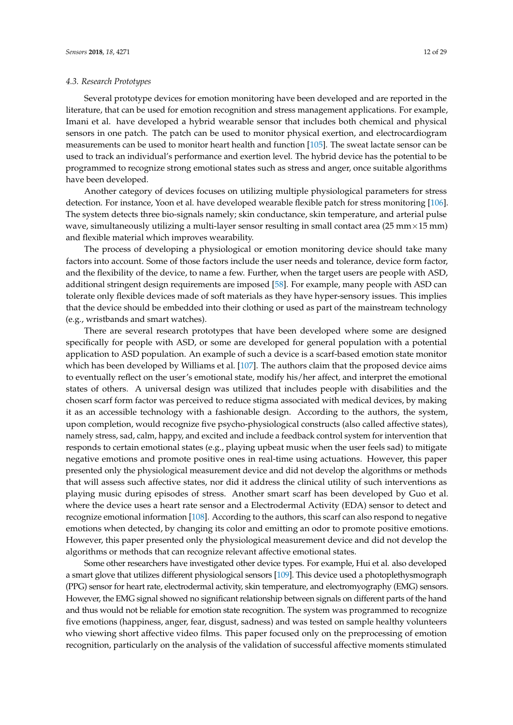#### *4.3. Research Prototypes*

Several prototype devices for emotion monitoring have been developed and are reported in the literature, that can be used for emotion recognition and stress management applications. For example, Imani et al. have developed a hybrid wearable sensor that includes both chemical and physical sensors in one patch. The patch can be used to monitor physical exertion, and electrocardiogram measurements can be used to monitor heart health and function [\[105\]](#page-27-17). The sweat lactate sensor can be used to track an individual's performance and exertion level. The hybrid device has the potential to be programmed to recognize strong emotional states such as stress and anger, once suitable algorithms have been developed.

Another category of devices focuses on utilizing multiple physiological parameters for stress detection. For instance, Yoon et al. have developed wearable flexible patch for stress monitoring [\[106\]](#page-27-18). The system detects three bio-signals namely; skin conductance, skin temperature, and arterial pulse wave, simultaneously utilizing a multi-layer sensor resulting in small contact area ( $25 \text{ mm} \times 15 \text{ mm}$ ) and flexible material which improves wearability.

The process of developing a physiological or emotion monitoring device should take many factors into account. Some of those factors include the user needs and tolerance, device form factor, and the flexibility of the device, to name a few. Further, when the target users are people with ASD, additional stringent design requirements are imposed [\[58\]](#page-25-18). For example, many people with ASD can tolerate only flexible devices made of soft materials as they have hyper-sensory issues. This implies that the device should be embedded into their clothing or used as part of the mainstream technology (e.g., wristbands and smart watches).

There are several research prototypes that have been developed where some are designed specifically for people with ASD, or some are developed for general population with a potential application to ASD population. An example of such a device is a scarf-based emotion state monitor which has been developed by Williams et al. [\[107\]](#page-27-19). The authors claim that the proposed device aims to eventually reflect on the user's emotional state, modify his/her affect, and interpret the emotional states of others. A universal design was utilized that includes people with disabilities and the chosen scarf form factor was perceived to reduce stigma associated with medical devices, by making it as an accessible technology with a fashionable design. According to the authors, the system, upon completion, would recognize five psycho-physiological constructs (also called affective states), namely stress, sad, calm, happy, and excited and include a feedback control system for intervention that responds to certain emotional states (e.g., playing upbeat music when the user feels sad) to mitigate negative emotions and promote positive ones in real-time using actuations. However, this paper presented only the physiological measurement device and did not develop the algorithms or methods that will assess such affective states, nor did it address the clinical utility of such interventions as playing music during episodes of stress. Another smart scarf has been developed by Guo et al. where the device uses a heart rate sensor and a Electrodermal Activity (EDA) sensor to detect and recognize emotional information [\[108\]](#page-27-20). According to the authors, this scarf can also respond to negative emotions when detected, by changing its color and emitting an odor to promote positive emotions. However, this paper presented only the physiological measurement device and did not develop the algorithms or methods that can recognize relevant affective emotional states.

Some other researchers have investigated other device types. For example, Hui et al. also developed a smart glove that utilizes different physiological sensors [\[109\]](#page-27-21). This device used a photoplethysmograph (PPG) sensor for heart rate, electrodermal activity, skin temperature, and electromyography (EMG) sensors. However, the EMG signal showed no significant relationship between signals on different parts of the hand and thus would not be reliable for emotion state recognition. The system was programmed to recognize five emotions (happiness, anger, fear, disgust, sadness) and was tested on sample healthy volunteers who viewing short affective video films. This paper focused only on the preprocessing of emotion recognition, particularly on the analysis of the validation of successful affective moments stimulated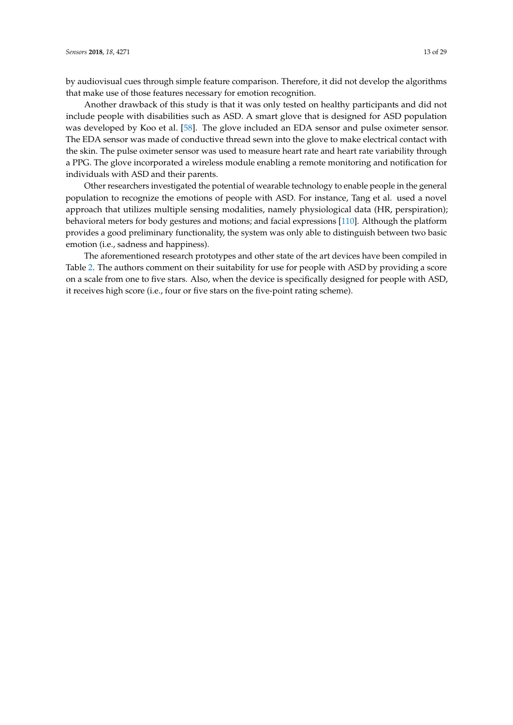by audiovisual cues through simple feature comparison. Therefore, it did not develop the algorithms that make use of those features necessary for emotion recognition.

Another drawback of this study is that it was only tested on healthy participants and did not include people with disabilities such as ASD. A smart glove that is designed for ASD population was developed by Koo et al. [\[58\]](#page-25-18). The glove included an EDA sensor and pulse oximeter sensor. The EDA sensor was made of conductive thread sewn into the glove to make electrical contact with the skin. The pulse oximeter sensor was used to measure heart rate and heart rate variability through a PPG. The glove incorporated a wireless module enabling a remote monitoring and notification for individuals with ASD and their parents.

Other researchers investigated the potential of wearable technology to enable people in the general population to recognize the emotions of people with ASD. For instance, Tang et al. used a novel approach that utilizes multiple sensing modalities, namely physiological data (HR, perspiration); behavioral meters for body gestures and motions; and facial expressions [\[110\]](#page-27-22). Although the platform provides a good preliminary functionality, the system was only able to distinguish between two basic emotion (i.e., sadness and happiness).

The aforementioned research prototypes and other state of the art devices have been compiled in Table [2.](#page-15-0) The authors comment on their suitability for use for people with ASD by providing a score on a scale from one to five stars. Also, when the device is specifically designed for people with ASD, it receives high score (i.e., four or five stars on the five-point rating scheme).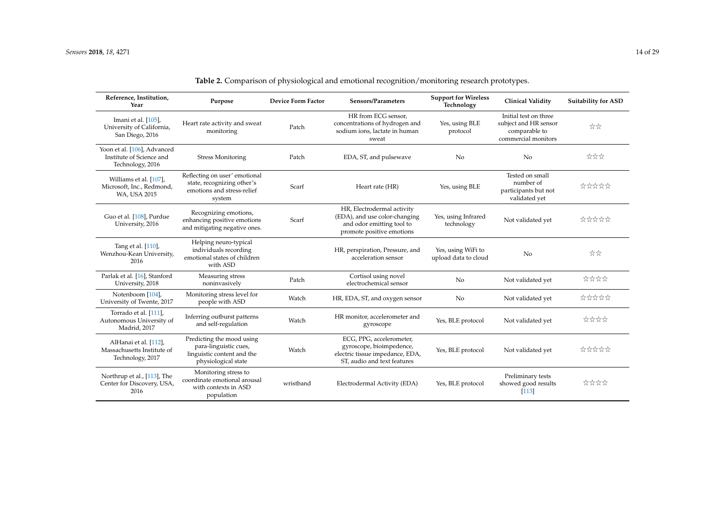| Reference, Institution,<br>Year                                             | Purpose                                                                                                 | <b>Device Form Factor</b> | Sensors/Parameters                                                                                                     | <b>Support for Wireless</b><br>Technology  | <b>Clinical Validity</b>                                                               | <b>Suitability for ASD</b> |
|-----------------------------------------------------------------------------|---------------------------------------------------------------------------------------------------------|---------------------------|------------------------------------------------------------------------------------------------------------------------|--------------------------------------------|----------------------------------------------------------------------------------------|----------------------------|
| Imani et al. [105],<br>University of California,<br>San Diego, 2016         | Heart rate activity and sweat<br>monitoring                                                             | Patch                     | HR from ECG sensor,<br>concentrations of hydrogen and<br>sodium ions, lactate in human<br>sweat                        | Yes, using BLE<br>protocol                 | Initial test on three<br>subject and HR sensor<br>comparable to<br>commercial monitors | ☆☆                         |
| Yoon et al. [106], Advanced<br>Institute of Science and<br>Technology, 2016 | <b>Stress Monitoring</b>                                                                                | Patch                     | EDA, ST, and pulsewave                                                                                                 | No                                         | No                                                                                     | ☆☆☆                        |
| Williams et al. [107].<br>Microsoft, Inc., Redmond,<br>WA, USA 2015         | Reflecting on user' emotional<br>state, recognizing other's<br>emotions and stress-relief<br>system     | Scarf                     | Heart rate (HR)                                                                                                        | Yes, using BLE                             | Tested on small<br>number of<br>participants but not<br>validated yet                  | *****                      |
| Guo et al. [108], Purdue<br>University, 2016                                | Recognizing emotions,<br>enhancing positive emotions<br>and mitigating negative ones.                   | Scarf                     | HR, Electrodermal activity<br>(EDA), and use color-changing<br>and odor emitting tool to<br>promote positive emotions  | Yes, using Infrared<br>technology          | Not validated yet                                                                      | *****                      |
| Tang et al. [110],<br>Wenzhou-Kean University,<br>2016                      | Helping neuro-typical<br>individuals recording<br>emotional states of children<br>with ASD              |                           | HR, perspiration, Pressure, and<br>acceleration sensor                                                                 | Yes, using WiFi to<br>upload data to cloud | No                                                                                     | ☆☆                         |
| Parlak et al. [16], Stanford<br>University, 2018                            | Measuring stress<br>noninvasively                                                                       | Patch                     | Cortisol using novel<br>electrochemical sensor                                                                         | No                                         | Not validated yet                                                                      | ****                       |
| Notenboom [104],<br>University of Twente, 2017                              | Monitoring stress level for<br>people with ASD                                                          | Watch                     | HR, EDA, ST, and oxygen sensor                                                                                         | No                                         | Not validated yet                                                                      | *****                      |
| Torrado et al. [111].<br>Autonomous University of<br>Madrid, 2017           | Inferring outburst patterns<br>and self-regulation                                                      | Watch                     | HR monitor, accelerometer and<br>gyroscope                                                                             | Yes, BLE protocol                          | Not validated yet                                                                      | ☆☆☆☆                       |
| AlHanai et al. [112].<br>Massachusetts Institute of<br>Technology, 2017     | Predicting the mood using<br>para-linguistic cues,<br>linguistic content and the<br>physiological state | Watch                     | ECG, PPG, accelerometer,<br>gyroscope, bioimpedence,<br>electric tissue impedance, EDA,<br>ST, audio and text features | Yes, BLE protocol                          | Not validated yet                                                                      | ☆☆☆☆☆                      |
| Northrup et al., [113], The<br>Center for Discovery, USA,<br>2016           | Monitoring stress to<br>coordinate emotional arousal<br>with contexts in ASD<br>population              | wristband                 | Electrodermal Activity (EDA)                                                                                           | Yes, BLE protocol                          | Preliminary tests<br>showed good results<br>$[113]$                                    | ☆☆☆☆                       |

|  |  | Table 2. Comparison of physiological and emotional recognition/monitoring research prototypes. |  |  |
|--|--|------------------------------------------------------------------------------------------------|--|--|
|  |  |                                                                                                |  |  |
|  |  |                                                                                                |  |  |
|  |  |                                                                                                |  |  |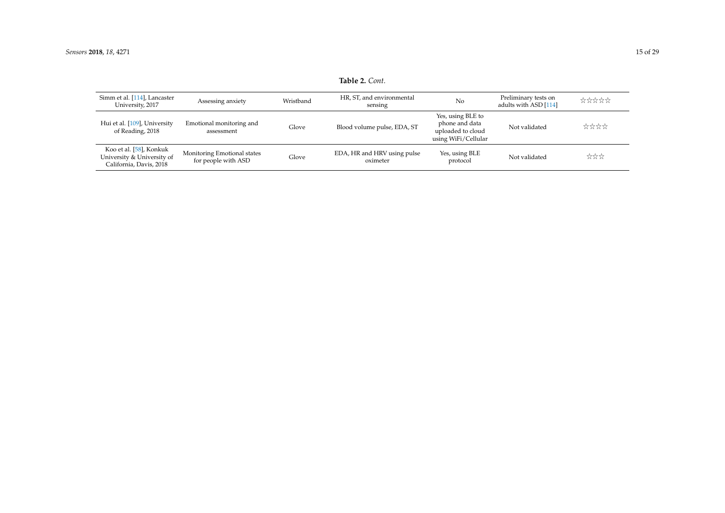<span id="page-15-0"></span>

| Simm et al. [114], Lancaster<br>University, 2017                                 | Assessing anxiety                                  | Wristband | HR, ST, and environmental<br>sensing    | No                                                                              | Preliminary tests on<br>adults with ASD [114] | ***** |
|----------------------------------------------------------------------------------|----------------------------------------------------|-----------|-----------------------------------------|---------------------------------------------------------------------------------|-----------------------------------------------|-------|
| Hui et al. [109], University<br>of Reading, 2018                                 | Emotional monitoring and<br>assessment             | Glove     | Blood volume pulse, EDA, ST             | Yes, using BLE to<br>phone and data<br>uploaded to cloud<br>using WiFi/Cellular | Not validated                                 | ☆☆☆☆  |
| Koo et al. [58], Konkuk<br>University & University of<br>California, Davis, 2018 | Monitoring Emotional states<br>for people with ASD | Glove     | EDA, HR and HRV using pulse<br>oximeter | Yes, using BLE<br>protocol                                                      | Not validated                                 | ☆☆☆   |

**Table 2.** *Cont.*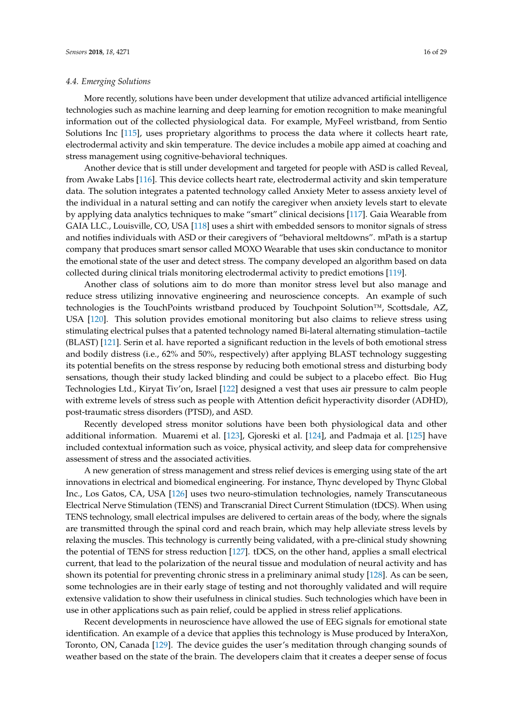More recently, solutions have been under development that utilize advanced artificial intelligence technologies such as machine learning and deep learning for emotion recognition to make meaningful information out of the collected physiological data. For example, MyFeel wristband, from Sentio Solutions Inc [\[115\]](#page-28-1), uses proprietary algorithms to process the data where it collects heart rate, electrodermal activity and skin temperature. The device includes a mobile app aimed at coaching and stress management using cognitive-behavioral techniques.

Another device that is still under development and targeted for people with ASD is called Reveal, from Awake Labs [\[116\]](#page-28-2). This device collects heart rate, electrodermal activity and skin temperature data. The solution integrates a patented technology called Anxiety Meter to assess anxiety level of the individual in a natural setting and can notify the caregiver when anxiety levels start to elevate by applying data analytics techniques to make "smart" clinical decisions [\[117\]](#page-28-3). Gaia Wearable from GAIA LLC., Louisville, CO, USA [\[118\]](#page-28-4) uses a shirt with embedded sensors to monitor signals of stress and notifies individuals with ASD or their caregivers of "behavioral meltdowns". mPath is a startup company that produces smart sensor called MOXO Wearable that uses skin conductance to monitor the emotional state of the user and detect stress. The company developed an algorithm based on data collected during clinical trials monitoring electrodermal activity to predict emotions [\[119\]](#page-28-5).

Another class of solutions aim to do more than monitor stress level but also manage and reduce stress utilizing innovative engineering and neuroscience concepts. An example of such technologies is the TouchPoints wristband produced by Touchpoint Solution™, Scottsdale, AZ, USA [\[120\]](#page-28-6). This solution provides emotional monitoring but also claims to relieve stress using stimulating electrical pulses that a patented technology named Bi-lateral alternating stimulation–tactile (BLAST) [\[121\]](#page-28-7). Serin et al. have reported a significant reduction in the levels of both emotional stress and bodily distress (i.e., 62% and 50%, respectively) after applying BLAST technology suggesting its potential benefits on the stress response by reducing both emotional stress and disturbing body sensations, though their study lacked blinding and could be subject to a placebo effect. Bio Hug Technologies Ltd., Kiryat Tiv'on, Israel [\[122\]](#page-28-8) designed a vest that uses air pressure to calm people with extreme levels of stress such as people with Attention deficit hyperactivity disorder (ADHD), post-traumatic stress disorders (PTSD), and ASD.

Recently developed stress monitor solutions have been both physiological data and other additional information. Muaremi et al. [\[123\]](#page-28-9), Gjoreski et al. [\[124\]](#page-28-10), and Padmaja et al. [\[125\]](#page-28-11) have included contextual information such as voice, physical activity, and sleep data for comprehensive assessment of stress and the associated activities.

A new generation of stress management and stress relief devices is emerging using state of the art innovations in electrical and biomedical engineering. For instance, Thync developed by Thync Global Inc., Los Gatos, CA, USA [\[126\]](#page-28-12) uses two neuro-stimulation technologies, namely Transcutaneous Electrical Nerve Stimulation (TENS) and Transcranial Direct Current Stimulation (tDCS). When using TENS technology, small electrical impulses are delivered to certain areas of the body, where the signals are transmitted through the spinal cord and reach brain, which may help alleviate stress levels by relaxing the muscles. This technology is currently being validated, with a pre-clinical study showning the potential of TENS for stress reduction [\[127\]](#page-28-13). tDCS, on the other hand, applies a small electrical current, that lead to the polarization of the neural tissue and modulation of neural activity and has shown its potential for preventing chronic stress in a preliminary animal study [\[128\]](#page-28-14). As can be seen, some technologies are in their early stage of testing and not thoroughly validated and will require extensive validation to show their usefulness in clinical studies. Such technologies which have been in use in other applications such as pain relief, could be applied in stress relief applications.

Recent developments in neuroscience have allowed the use of EEG signals for emotional state identification. An example of a device that applies this technology is Muse produced by InteraXon, Toronto, ON, Canada [\[129\]](#page-28-15). The device guides the user's meditation through changing sounds of weather based on the state of the brain. The developers claim that it creates a deeper sense of focus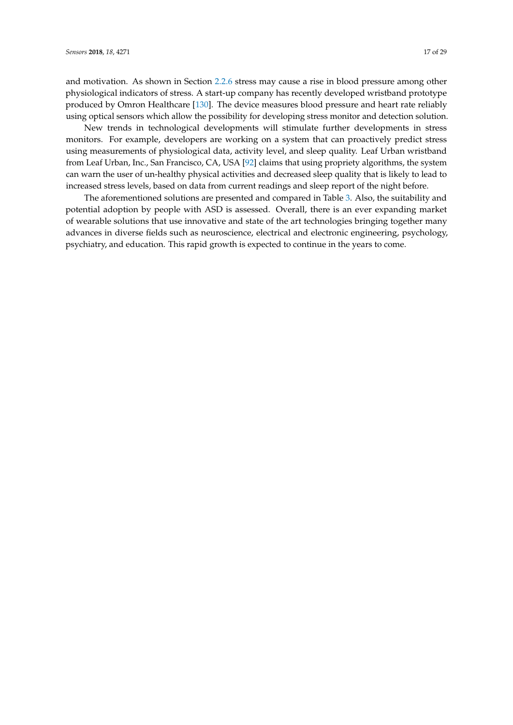and motivation. As shown in Section [2.2.6](#page-4-0) stress may cause a rise in blood pressure among other physiological indicators of stress. A start-up company has recently developed wristband prototype produced by Omron Healthcare [\[130\]](#page-28-16). The device measures blood pressure and heart rate reliably using optical sensors which allow the possibility for developing stress monitor and detection solution.

New trends in technological developments will stimulate further developments in stress monitors. For example, developers are working on a system that can proactively predict stress using measurements of physiological data, activity level, and sleep quality. Leaf Urban wristband from Leaf Urban, Inc., San Francisco, CA, USA [\[92\]](#page-27-32) claims that using propriety algorithms, the system can warn the user of un-healthy physical activities and decreased sleep quality that is likely to lead to increased stress levels, based on data from current readings and sleep report of the night before.

The aforementioned solutions are presented and compared in Table [3.](#page-19-0) Also, the suitability and potential adoption by people with ASD is assessed. Overall, there is an ever expanding market of wearable solutions that use innovative and state of the art technologies bringing together many advances in diverse fields such as neuroscience, electrical and electronic engineering, psychology, psychiatry, and education. This rapid growth is expected to continue in the years to come.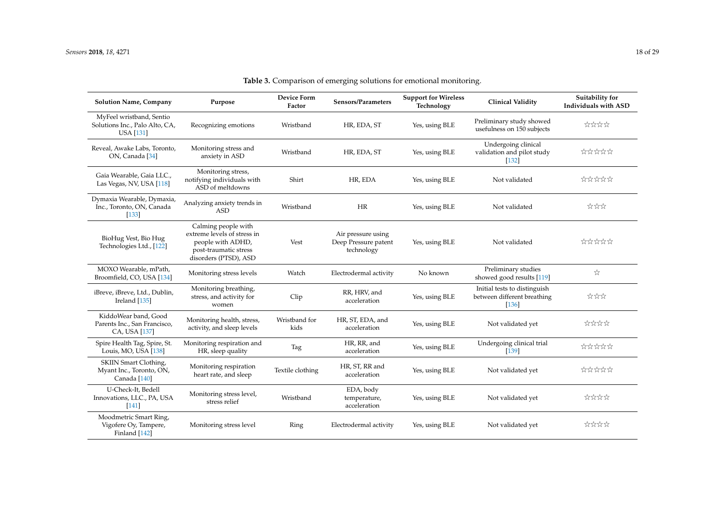| <b>Solution Name, Company</b>                                                  | Purpose                                                                                                                   | <b>Device Form</b><br>Factor | Sensors/Parameters                                       | <b>Support for Wireless</b><br>Technology | <b>Clinical Validity</b>                                               | Suitability for<br><b>Individuals with ASD</b> |
|--------------------------------------------------------------------------------|---------------------------------------------------------------------------------------------------------------------------|------------------------------|----------------------------------------------------------|-------------------------------------------|------------------------------------------------------------------------|------------------------------------------------|
| MyFeel wristband, Sentio<br>Solutions Inc., Palo Alto, CA,<br><b>USA</b> [131] | Recognizing emotions                                                                                                      | Wristband                    | HR, EDA, ST                                              | Yes, using BLE                            | Preliminary study showed<br>usefulness on 150 subjects                 | ****                                           |
| Reveal, Awake Labs, Toronto,<br>ON, Canada <sup>[34]</sup>                     | Monitoring stress and<br>anxiety in ASD                                                                                   | Wristband                    | HR, EDA, ST                                              | Yes, using BLE                            | Undergoing clinical<br>validation and pilot study<br>$[132]$           | *****                                          |
| Gaia Wearable, Gaia LLC.,<br>Las Vegas, NV, USA [118]                          | Monitoring stress,<br>notifying individuals with<br>ASD of meltdowns                                                      | Shirt                        | HR, EDA                                                  | Yes, using BLE                            | Not validated                                                          | *****                                          |
| Dymaxia Wearable, Dymaxia,<br>Inc., Toronto, ON, Canada<br>$[133]$             | Analyzing anxiety trends in<br>ASD                                                                                        | Wristband                    | HR                                                       | Yes, using BLE                            | Not validated                                                          | ☆☆☆                                            |
| BioHug Vest, Bio Hug<br>Technologies Ltd., [122]                               | Calming people with<br>extreme levels of stress in<br>people with ADHD,<br>post-traumatic stress<br>disorders (PTSD), ASD | Vest                         | Air pressure using<br>Deep Pressure patent<br>technology | Yes, using BLE                            | Not validated                                                          | *****                                          |
| MOXO Wearable, mPath,<br>Broomfield, CO, USA [134]                             | Monitoring stress levels                                                                                                  | Watch                        | Electrodermal activity                                   | No known                                  | Preliminary studies<br>showed good results [119]                       | ☆                                              |
| iBreve, iBreve, Ltd., Dublin,<br>Ireland [135]                                 | Monitoring breathing,<br>stress, and activity for<br>women                                                                | Clip                         | RR, HRV, and<br>acceleration                             | Yes, using BLE                            | Initial tests to distinguish<br>between different breathing<br>$[136]$ | ***                                            |
| KiddoWear band, Good<br>Parents Inc., San Francisco,<br>CA, USA [137]          | Monitoring health, stress,<br>activity, and sleep levels                                                                  | Wristband for<br>kids        | HR, ST, EDA, and<br>acceleration                         | Yes, using BLE                            | Not validated yet                                                      | ****                                           |
| Spire Health Tag, Spire, St.<br>Louis, MO, USA [138]                           | Monitoring respiration and<br>HR, sleep quality                                                                           | Tag                          | HR, RR, and<br>acceleration                              | Yes, using BLE                            | Undergoing clinical trial<br>$[139]$                                   | *****                                          |
| SKIIN Smart Clothing,<br>Myant Inc., Toronto, ON,<br>Canada <sup>[140]</sup>   | Monitoring respiration<br>heart rate, and sleep                                                                           | Textile clothing             | HR, ST, RR and<br>acceleration                           | Yes, using BLE                            | Not validated yet                                                      | *****                                          |
| U-Check-It, Bedell<br>Innovations, LLC., PA, USA<br>[141]                      | Monitoring stress level,<br>stress relief                                                                                 | Wristband                    | EDA, body<br>temperature,<br>acceleration                | Yes, using BLE                            | Not validated yet                                                      | ****                                           |
| Moodmetric Smart Ring,<br>Vigofere Oy, Tampere,<br>Finland [142]               | Monitoring stress level                                                                                                   | Ring                         | Electrodermal activity                                   | Yes, using BLE                            | Not validated yet                                                      | ****                                           |

# **Table 3.** Comparison of emerging solutions for emotional monitoring.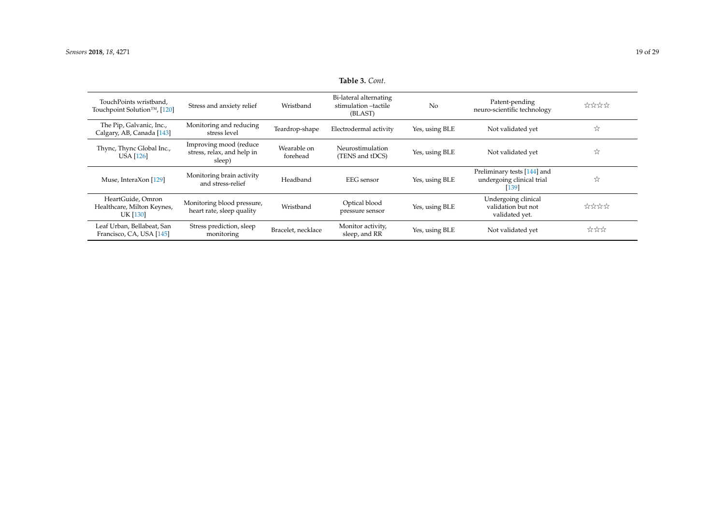<span id="page-19-0"></span>

| TouchPoints wristband.<br>Touchpoint Solution <sup>™</sup> , [120] | Stress and anxiety relief                                      | Wristband               | Bi-lateral alternating<br>stimulation -tactile<br>(BLAST) | No             | Patent-pending<br>neuro-scientific technology                     | ****       |
|--------------------------------------------------------------------|----------------------------------------------------------------|-------------------------|-----------------------------------------------------------|----------------|-------------------------------------------------------------------|------------|
| The Pip, Galvanic, Inc.,<br>Calgary, AB, Canada [143]              | Monitoring and reducing<br>stress level                        | Teardrop-shape          | Electrodermal activity                                    | Yes, using BLE | Not validated yet                                                 | ☆          |
| Thync, Thync Global Inc.,<br><b>USA</b> [126]                      | Improving mood (reduce<br>stress, relax, and help in<br>sleep) | Wearable on<br>forehead | Neurostimulation<br>(TENS and tDCS)                       | Yes, using BLE | Not validated yet                                                 | ☆          |
| Muse, InteraXon [129]                                              | Monitoring brain activity<br>and stress-relief                 | Headband                | EEG sensor                                                | Yes, using BLE | Preliminary tests [144] and<br>undergoing clinical trial<br>[139] | ☆          |
| HeartGuide, Omron<br>Healthcare, Milton Keynes,<br>UK [130]        | Monitoring blood pressure,<br>heart rate, sleep quality        | Wristband               | Optical blood<br>pressure sensor                          | Yes, using BLE | Undergoing clinical<br>validation but not<br>validated yet.       | ****       |
| Leaf Urban, Bellabeat, San<br>Francisco, CA, USA [145]             | Stress prediction, sleep<br>monitoring                         | Bracelet, necklace      | Monitor activity,<br>sleep, and RR                        | Yes, using BLE | Not validated yet                                                 | <b>☆☆☆</b> |

## **Table 3.** *Cont.*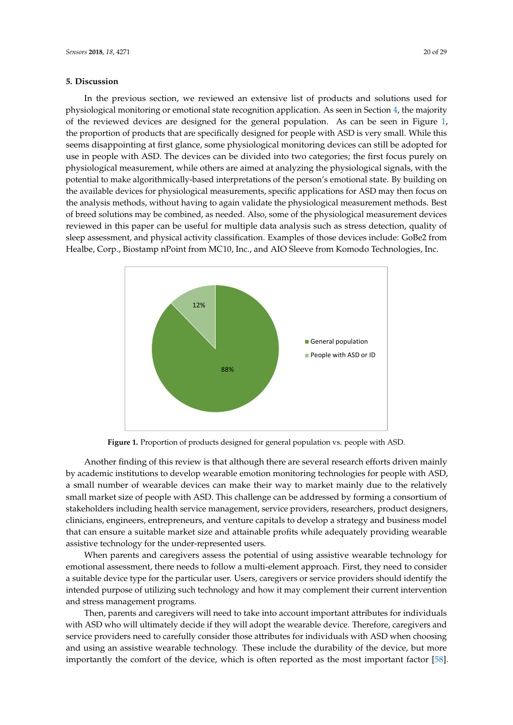#### <span id="page-20-0"></span>**5. Discussion**

In the previous section, we reviewed an extensive list of products and solutions used for physiological monitoring or emotional state recognition application. As seen in Section [4,](#page-7-0) the majority of the reviewed devices are designed for the general population. As can be seen in Figure [1,](#page-20-1) the proportion of products that are specifically designed for people with ASD is very small. While this seems disappointing at first glance, some physiological monitoring devices can still be adopted for use in people with ASD. The devices can be divided into two categories; the first focus purely on physiological measurement, while others are aimed at analyzing the physiological signals, with the potential to make algorithmically-based interpretations of the person's emotional state. By building on the available devices for physiological measurements, specific applications for ASD may then focus on the analysis methods, without having to again validate the physiological measurement methods. Best of breed solutions may be combined, as needed. Also, some of the physiological measurement devices reviewed in this paper can be useful for multiple data analysis such as stress detection, quality of sleep assessment, and physical activity classification. Examples of those devices include: GoBe2 from Healbe, Corp., Biostamp nPoint from MC10, Inc., and AIO Sleeve from Komodo Technologies, Inc.

<span id="page-20-1"></span>

**Figure 1.** Proportion of products designed for general population vs. people with ASD. **Figure 1.** Proportion of products designed for general population vs. people with ASD.

Another finding of this review is that although there are several research efforts driven mainly by academic institutions to develop wearable emotion monitoring technologies for people with ASD, by academic institutions to develop wearable emotion monitoring technologies for people with ASD, a small number of wearable devices can make their way to market mainly due to the relatively small market size of people with ASD. This challenge can be addressed by forming a consortium of stakeholders including health service management, service providers, researchers, product stakeholders including health service management, service providers, researchers, product designers, clinicians, engineers, entrepreneurs, and venture capitals to develop a strategy and business model business model that can ensure a suitable market size and attainable profits while adequately that can ensure a suitable market size and attainable profits while adequately providing wearable<br>in the contract of the contract of the contract of the contract of the contract of the contract of the contract assistive technology for the under-represented users. Another finding of this review is that although there are several research efforts driven mainly

When parents and caregivers assess the potential of using assistive wearable technology for emotional assessment, there needs to follow a multi-element approach. First, they need to consider a suitable device type for the particular user. Users, caregivers or service providers should identify the intended purpose of utilizing such technology and how it may complement their current intervention and stress management programs. with ASD with ASD will ultimately decide if they will adopt the will adopt the wearable device. The will adopt

Then, parents and caregivers will need to take into account important attributes for individuals with ASD who will ultimately decide if they will adopt the wearable device. Therefore, caregivers and service providers need to carefully consider those attributes for individuals with ASD when choosing and using an assistive wearable technology. These include the durability of the device, but more notive the comfort of the device which is often reported as the meet important for importantly the comfort of the device, which is often reported as the most important factor [\[58\]](#page-25-18).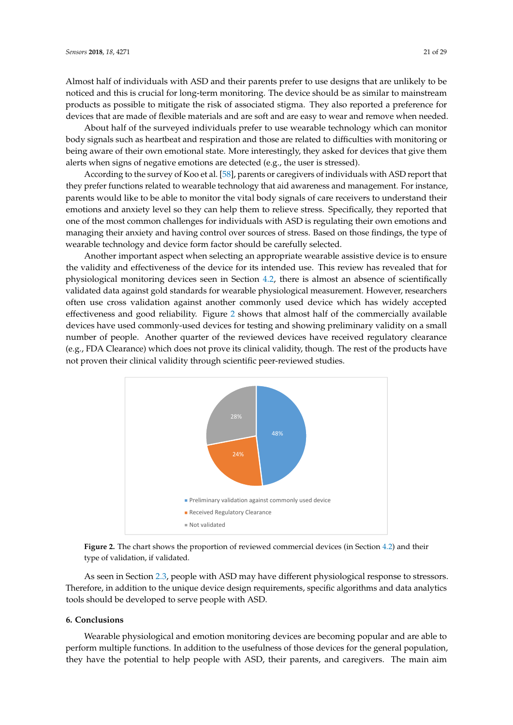Almost half of individuals with ASD and their parents prefer to use designs that are unlikely to be

noticed and this is crucial for long-term monitoring. The device should be as similar to mainstream products as possible to mitigate the risk of associated stigma. They also reported a preference for devices that are made of flexible materials and are soft and are easy to wear and remove when needed.

About half of the surveyed individuals prefer to use wearable technology which can monitor body signals such as heartbeat and respiration and those are related to difficulties with monitoring or being aware of their own emotional state. More interestingly, they asked for devices that give them alerts when signs of negative emotions are detected (e.g., the user is stressed).

According to the survey of Koo et al. [\[58\]](#page-25-18), parents or caregivers of individuals with ASD report that they prefer functions related to wearable technology that aid awareness and management. For instance, parents would like to be able to monitor the vital body signals of care receivers to understand their emotions and anxiety level so they can help them to relieve stress. Specifically, they reported that one of the most common challenges for individuals with ASD is regulating their own emotions and managing their anxiety and having control over sources of stress. Based on those findings, the type of wearable technology and device form factor should be carefully selected.

Another important aspect when selecting an appropriate wearable assistive device is to ensure the validity and effectiveness of the device for its intended use. This review has revealed that for physiological monitoring devices seen in Section [4.2,](#page-8-0) there is almost an absence of scientifically the validated data against gold standards for wearable physiological measurement. However, researchers often use cross validation against another commonly used device which has widely accepted effectiveness and good reliability. Figure 2 shows that almost half of the commercially available devices have used commonly-used devices for testing and showing preliminary validity on a small number of people. Another quarter of the reviewed devices have received regulatory clearance (e.g., FDA Clearance) which does not prove its clinical validity, though. The rest of the products have not proven their clinical validity through scientific peer-reviewed studies. physiological monitoring devices seen in Section 4.2, the in Section 4.2, the in Section 4.2, the interest of scientifical lynn reclarince, which does not prove its clinical validity, the again the rest of the product

<span id="page-21-1"></span>

**Figure 2.** The chart shows the proportion of reviewed commercial devices (in Section 4.2) and their **Figure 2.** The chart shows the proportion of reviewed commercial devices (in Section [4.2\)](#page-8-0) and their type of validation, if validated.

As seen in Section 2.3, people with ASD may have different physiological response to stressors. As seen in Section [2.3,](#page-5-0) people with ASD may have different physiological response to stressors.  $T_{\rm{max}}$  in addition to the unique device device device design requirements, specific algorithms and data algorithms and data  $T_{\rm{max}}$ Therefore, in addition to the unique device design requirements, specific algorithms and data analytics tools should be developed to serve people with ASD.

#### <span id="page-21-0"></span>who had an and emotion monitoring devices are become monitoring popular and are able to to **6. Conclusions**

Wearable physiological and emotion monitoring devices are becoming popular and are able to perform multiple functions. In addition to the usefulness of those devices for the general population,  $\frac{1}{\sqrt{2}}$  which are research and to report the research and to report the range of solutions in  $\frac{1}{\sqrt{2}}$ they have the potential to help people with ASD, their parents, and caregivers. The main aim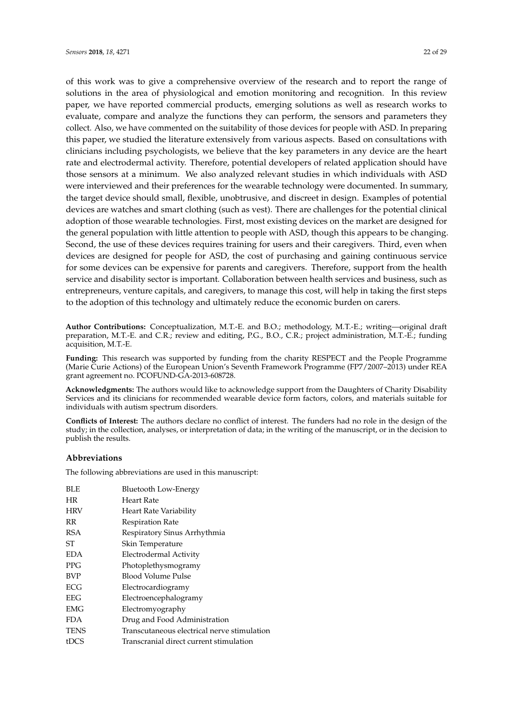of this work was to give a comprehensive overview of the research and to report the range of solutions in the area of physiological and emotion monitoring and recognition. In this review paper, we have reported commercial products, emerging solutions as well as research works to evaluate, compare and analyze the functions they can perform, the sensors and parameters they collect. Also, we have commented on the suitability of those devices for people with ASD. In preparing this paper, we studied the literature extensively from various aspects. Based on consultations with clinicians including psychologists, we believe that the key parameters in any device are the heart rate and electrodermal activity. Therefore, potential developers of related application should have those sensors at a minimum. We also analyzed relevant studies in which individuals with ASD were interviewed and their preferences for the wearable technology were documented. In summary, the target device should small, flexible, unobtrusive, and discreet in design. Examples of potential devices are watches and smart clothing (such as vest). There are challenges for the potential clinical adoption of those wearable technologies. First, most existing devices on the market are designed for the general population with little attention to people with ASD, though this appears to be changing. Second, the use of these devices requires training for users and their caregivers. Third, even when devices are designed for people for ASD, the cost of purchasing and gaining continuous service for some devices can be expensive for parents and caregivers. Therefore, support from the health service and disability sector is important. Collaboration between health services and business, such as entrepreneurs, venture capitals, and caregivers, to manage this cost, will help in taking the first steps to the adoption of this technology and ultimately reduce the economic burden on carers.

**Author Contributions:** Conceptualization, M.T.-E. and B.O.; methodology, M.T.-E.; writing—original draft preparation, M.T.-E. and C.R.; review and editing, P.G., B.O., C.R.; project administration, M.T.-E.; funding acquisition, M.T.-E.

**Funding:** This research was supported by funding from the charity RESPECT and the People Programme (Marie Curie Actions) of the European Union's Seventh Framework Programme (FP7/2007–2013) under REA grant agreement no. PCOFUND-GA-2013-608728.

**Acknowledgments:** The authors would like to acknowledge support from the Daughters of Charity Disability Services and its clinicians for recommended wearable device form factors, colors, and materials suitable for individuals with autism spectrum disorders.

**Conflicts of Interest:** The authors declare no conflict of interest. The funders had no role in the design of the study; in the collection, analyses, or interpretation of data; in the writing of the manuscript, or in the decision to publish the results.

#### **Abbreviations**

The following abbreviations are used in this manuscript:

| BLE  | Bluetooth Low-Energy                        |
|------|---------------------------------------------|
| HR   | Heart Rate                                  |
| HRV  | Heart Rate Variability                      |
| RR   | Respiration Rate                            |
| RSA  | Respiratory Sinus Arrhythmia                |
| SТ   | Skin Temperature                            |
| EDA  | Electrodermal Activity                      |
| PPG  | Photoplethysmogramy                         |
| BVP  | Blood Volume Pulse                          |
| ECG  | Electrocardiogramy                          |
| EEG  | Electroencephalogramy                       |
| EMG  | Electromyography                            |
| FDA  | Drug and Food Administration                |
| TENS | Transcutaneous electrical nerve stimulation |
| tDCS | Transcranial direct current stimulation     |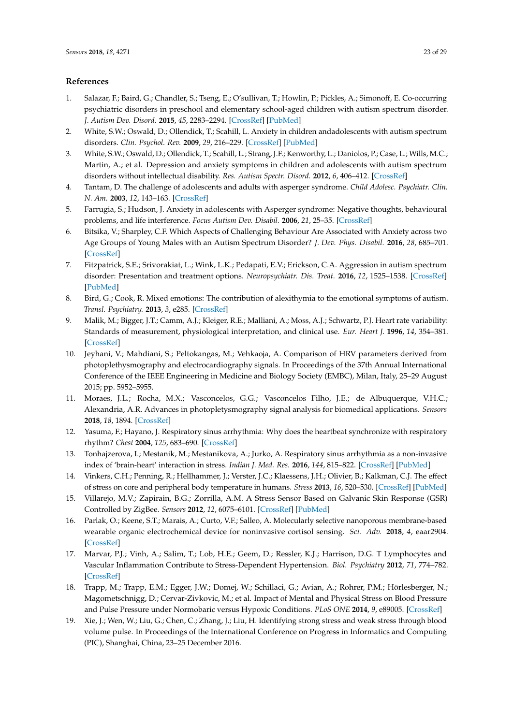# **References**

- <span id="page-23-0"></span>1. Salazar, F.; Baird, G.; Chandler, S.; Tseng, E.; O'sullivan, T.; Howlin, P.; Pickles, A.; Simonoff, E. Co-occurring psychiatric disorders in preschool and elementary school-aged children with autism spectrum disorder. *J. Autism Dev. Disord.* **2015**, *45*, 2283–2294. [\[CrossRef\]](http://dx.doi.org/10.1007/s10803-015-2361-5) [\[PubMed\]](http://www.ncbi.nlm.nih.gov/pubmed/25737019)
- <span id="page-23-1"></span>2. White, S.W.; Oswald, D.; Ollendick, T.; Scahill, L. Anxiety in children andadolescents with autism spectrum disorders. *Clin. Psychol. Rev.* **2009**, *29*, 216–229. [\[CrossRef\]](http://dx.doi.org/10.1016/j.cpr.2009.01.003) [\[PubMed\]](http://www.ncbi.nlm.nih.gov/pubmed/19223098)
- <span id="page-23-2"></span>3. White, S.W.; Oswald, D.; Ollendick, T.; Scahill, L.; Strang, J.F.; Kenworthy, L.; Daniolos, P.; Case, L.; Wills, M.C.; Martin, A.; et al. Depression and anxiety symptoms in children and adolescents with autism spectrum disorders without intellectual disability. *Res. Autism Spectr. Disord.* **2012**, *6*, 406–412. [\[CrossRef\]](http://dx.doi.org/10.1016/j.rasd.2011.06.015)
- <span id="page-23-3"></span>4. Tantam, D. The challenge of adolescents and adults with asperger syndrome. *Child Adolesc. Psychiatr. Clin. N. Am.* **2003**, *12*, 143–163. [\[CrossRef\]](http://dx.doi.org/10.1016/S1056-4993(02)00053-6)
- <span id="page-23-4"></span>5. Farrugia, S.; Hudson, J. Anxiety in adolescents with Asperger syndrome: Negative thoughts, behavioural problems, and life interference. *Focus Autism Dev. Disabil.* **2006**, *21*, 25–35. [\[CrossRef\]](http://dx.doi.org/10.1177/10883576060210010401)
- <span id="page-23-5"></span>6. Bitsika, V.; Sharpley, C.F. Which Aspects of Challenging Behaviour Are Associated with Anxiety across two Age Groups of Young Males with an Autism Spectrum Disorder? *J. Dev. Phys. Disabil.* **2016**, *28*, 685–701. [\[CrossRef\]](http://dx.doi.org/10.1007/s10882-016-9502-4)
- <span id="page-23-6"></span>7. Fitzpatrick, S.E.; Srivorakiat, L.; Wink, L.K.; Pedapati, E.V.; Erickson, C.A. Aggression in autism spectrum disorder: Presentation and treatment options. *Neuropsychiatr. Dis. Treat.* **2016**, *12*, 1525–1538. [\[CrossRef\]](http://dx.doi.org/10.2147/NDT.S84585) [\[PubMed\]](http://www.ncbi.nlm.nih.gov/pubmed/27382295)
- <span id="page-23-19"></span><span id="page-23-7"></span>8. Bird, G.; Cook, R. Mixed emotions: The contribution of alexithymia to the emotional symptoms of autism. *Transl. Psychiatry.* **2013**, *3*, e285. [\[CrossRef\]](http://dx.doi.org/10.1038/tp.2013.61)
- <span id="page-23-8"></span>9. Malik, M.; Bigger, J.T.; Camm, A.J.; Kleiger, R.E.; Malliani, A.; Moss, A.J.; Schwartz, P.J. Heart rate variability: Standards of measurement, physiological interpretation, and clinical use. *Eur. Heart J.* **1996**, *14*, 354–381. [\[CrossRef\]](http://dx.doi.org/10.1093/oxfordjournals.eurheartj.a014868)
- <span id="page-23-9"></span>10. Jeyhani, V.; Mahdiani, S.; Peltokangas, M.; Vehkaoja, A. Comparison of HRV parameters derived from photoplethysmography and electrocardiography signals. In Proceedings of the 37th Annual International Conference of the IEEE Engineering in Medicine and Biology Society (EMBC), Milan, Italy, 25–29 August 2015; pp. 5952–5955.
- <span id="page-23-10"></span>11. Moraes, J.L.; Rocha, M.X.; Vasconcelos, G.G.; Vasconcelos Filho, J.E.; de Albuquerque, V.H.C.; Alexandria, A.R. Advances in photopletysmography signal analysis for biomedical applications. *Sensors* **2018**, *18*, 1894. [\[CrossRef\]](http://dx.doi.org/10.3390/s18061894)
- <span id="page-23-11"></span>12. Yasuma, F.; Hayano, J. Respiratory sinus arrhythmia: Why does the heartbeat synchronize with respiratory rhythm? *Chest* **2004**, *125*, 683–690. [\[CrossRef\]](http://dx.doi.org/10.1378/chest.125.2.683)
- <span id="page-23-12"></span>13. Tonhajzerova, I.; Mestanik, M.; Mestanikova, A.; Jurko, A. Respiratory sinus arrhythmia as a non-invasive index of 'brain-heart' interaction in stress. *Indian J. Med. Res.* **2016**, *144*, 815–822. [\[CrossRef\]](http://dx.doi.org/10.4103/ijmr.IJMR_1447_14) [\[PubMed\]](http://www.ncbi.nlm.nih.gov/pubmed/28474618)
- <span id="page-23-13"></span>14. Vinkers, C.H.; Penning, R.; Hellhammer, J.; Verster, J.C.; Klaessens, J.H.; Olivier, B.; Kalkman, C.J. The effect of stress on core and peripheral body temperature in humans. *Stress* **2013**, *16*, 520–530. [\[CrossRef\]](http://dx.doi.org/10.3109/10253890.2013.807243) [\[PubMed\]](http://www.ncbi.nlm.nih.gov/pubmed/23790072)
- <span id="page-23-14"></span>15. Villarejo, M.V.; Zapirain, B.G.; Zorrilla, A.M. A Stress Sensor Based on Galvanic Skin Response (GSR) Controlled by ZigBee. *Sensors* **2012**, *12*, 6075–6101. [\[CrossRef\]](http://dx.doi.org/10.3390/s120506075) [\[PubMed\]](http://www.ncbi.nlm.nih.gov/pubmed/22778631)
- <span id="page-23-15"></span>16. Parlak, O.; Keene, S.T.; Marais, A.; Curto, V.F.; Salleo, A. Molecularly selective nanoporous membrane-based wearable organic electrochemical device for noninvasive cortisol sensing. *Sci. Adv.* **2018**, *4*, eaar2904. [\[CrossRef\]](http://dx.doi.org/10.1126/sciadv.aar2904)
- <span id="page-23-16"></span>17. Marvar, P.J.; Vinh, A.; Salim, T.; Lob, H.E.; Geem, D.; Ressler, K.J.; Harrison, D.G. T Lymphocytes and Vascular Inflammation Contribute to Stress-Dependent Hypertension. *Biol. Psychiatry* **2012**, *71*, 774–782. [\[CrossRef\]](http://dx.doi.org/10.1016/j.biopsych.2012.01.017)
- <span id="page-23-17"></span>18. Trapp, M.; Trapp, E.M.; Egger, J.W.; Domej, W.; Schillaci, G.; Avian, A.; Rohrer, P.M.; Hörlesberger, N.; Magometschnigg, D.; Cervar-Zivkovic, M.; et al. Impact of Mental and Physical Stress on Blood Pressure and Pulse Pressure under Normobaric versus Hypoxic Conditions. *PLoS ONE* **2014**, *9*, e89005. [\[CrossRef\]](http://dx.doi.org/10.1371/journal.pone.0089005)
- <span id="page-23-18"></span>19. Xie, J.; Wen, W.; Liu, G.; Chen, C.; Zhang, J.; Liu, H. Identifying strong stress and weak stress through blood volume pulse. In Proceedings of the International Conference on Progress in Informatics and Computing (PIC), Shanghai, China, 23–25 December 2016.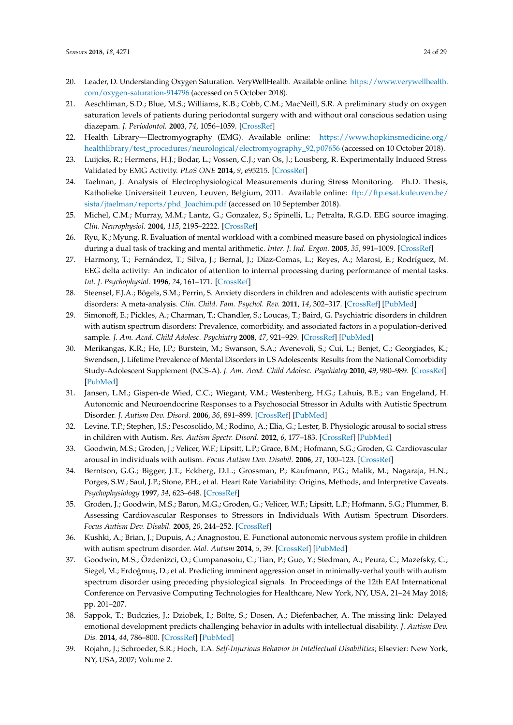- <span id="page-24-0"></span>20. Leader, D. Understanding Oxygen Saturation. VeryWellHealth. Available online: [https://www.verywellhealth.](https://www.verywellhealth.com/oxygen-saturation-914796) [com/oxygen-saturation-914796](https://www.verywellhealth.com/oxygen-saturation-914796) (accessed on 5 October 2018).
- <span id="page-24-1"></span>21. Aeschliman, S.D.; Blue, M.S.; Williams, K.B.; Cobb, C.M.; MacNeill, S.R. A preliminary study on oxygen saturation levels of patients during periodontal surgery with and without oral conscious sedation using diazepam. *J. Periodontol.* **2003**, *74*, 1056–1059. [\[CrossRef\]](http://dx.doi.org/10.1902/jop.2003.74.7.1056)
- <span id="page-24-2"></span>22. Health Library—Electromyography (EMG). Available online: [https://www.hopkinsmedicine.org/](https://www.hopkinsmedicine.org/healthlibrary/test_procedures/neurological/electromyography_92,p07656) [healthlibrary/test\\_procedures/neurological/electromyography\\_92,p07656](https://www.hopkinsmedicine.org/healthlibrary/test_procedures/neurological/electromyography_92,p07656) (accessed on 10 October 2018).
- <span id="page-24-3"></span>23. Luijcks, R.; Hermens, H.J.; Bodar, L.; Vossen, C.J.; van Os, J.; Lousberg, R. Experimentally Induced Stress Validated by EMG Activity. *PLoS ONE* **2014**, *9*, e95215. [\[CrossRef\]](http://dx.doi.org/10.1371/journal.pone.0095215)
- <span id="page-24-4"></span>24. Taelman, J. Analysis of Electrophysiological Measurements during Stress Monitoring. Ph.D. Thesis, Katholieke Universiteit Leuven, Leuven, Belgium, 2011. Available online: [ftp://ftp.esat.kuleuven.be/](ftp://ftp.esat.kuleuven.be/sista/jtaelman/reports/phd_Joachim.pdf) [sista/jtaelman/reports/phd\\_Joachim.pdf](ftp://ftp.esat.kuleuven.be/sista/jtaelman/reports/phd_Joachim.pdf) (accessed on 10 September 2018).
- <span id="page-24-5"></span>25. Michel, C.M.; Murray, M.M.; Lantz, G.; Gonzalez, S.; Spinelli, L.; Petralta, R.G.D. EEG source imaging. *Clin. Neurophysiol.* **2004**, *115*, 2195–2222. [\[CrossRef\]](http://dx.doi.org/10.1016/j.clinph.2004.06.001)
- <span id="page-24-6"></span>26. Ryu, K.; Myung, R. Evaluation of mental workload with a combined measure based on physiological indices during a dual task of tracking and mental arithmetic. *Inter. J. Ind. Ergon.* **2005**, *35*, 991–1009. [\[CrossRef\]](http://dx.doi.org/10.1016/j.ergon.2005.04.005)
- <span id="page-24-20"></span><span id="page-24-7"></span>27. Harmony, T.; Fernández, T.; Silva, J.; Bernal, J.; Díaz-Comas, L.; Reyes, A.; Marosi, E.; Rodríguez, M. EEG delta activity: An indicator of attention to internal processing during performance of mental tasks. *Int. J. Psychophysiol.* **1996**, *24*, 161–171. [\[CrossRef\]](http://dx.doi.org/10.1016/S0167-8760(96)00053-0)
- <span id="page-24-8"></span>28. Steensel, F.J.A.; Bögels, S.M.; Perrin, S. Anxiety disorders in children and adolescents with autistic spectrum disorders: A meta-analysis. *Clin. Child. Fam. Psychol. Rev.* **2011**, *14*, 302–317. [\[CrossRef\]](http://dx.doi.org/10.1007/s10567-011-0097-0) [\[PubMed\]](http://www.ncbi.nlm.nih.gov/pubmed/21735077)
- <span id="page-24-9"></span>29. Simonoff, E.; Pickles, A.; Charman, T.; Chandler, S.; Loucas, T.; Baird, G. Psychiatric disorders in children with autism spectrum disorders: Prevalence, comorbidity, and associated factors in a population-derived sample. *J. Am. Acad. Child Adolesc. Psychiatry* **2008**, *47*, 921–929. [\[CrossRef\]](http://dx.doi.org/10.1097/CHI.0b013e318179964f) [\[PubMed\]](http://www.ncbi.nlm.nih.gov/pubmed/18645422)
- <span id="page-24-10"></span>30. Merikangas, K.R.; He, J.P.; Burstein, M.; Swanson, S.A.; Avenevoli, S.; Cui, L.; Benjet, C.; Georgiades, K.; Swendsen, J. Lifetime Prevalence of Mental Disorders in US Adolescents: Results from the National Comorbidity Study-Adolescent Supplement (NCS-A). *J. Am. Acad. Child Adolesc. Psychiatry* **2010**, *49*, 980–989. [\[CrossRef\]](http://dx.doi.org/10.1016/j.jaac.2010.05.017) [\[PubMed\]](http://www.ncbi.nlm.nih.gov/pubmed/20855043)
- <span id="page-24-11"></span>31. Jansen, L.M.; Gispen-de Wied, C.C.; Wiegant, V.M.; Westenberg, H.G.; Lahuis, B.E.; van Engeland, H. Autonomic and Neuroendocrine Responses to a Psychosocial Stressor in Adults with Autistic Spectrum Disorder. *J. Autism Dev. Disord.* **2006**, *36*, 891–899. [\[CrossRef\]](http://dx.doi.org/10.1007/s10803-006-0124-z) [\[PubMed\]](http://www.ncbi.nlm.nih.gov/pubmed/16865550)
- <span id="page-24-12"></span>32. Levine, T.P.; Stephen, J.S.; Pescosolido, M.; Rodino, A.; Elia, G.; Lester, B. Physiologic arousal to social stress in children with Autism. *Res. Autism Spectr. Disord.* **2012**, *6*, 177–183. [\[CrossRef\]](http://dx.doi.org/10.1016/j.rasd.2011.04.003) [\[PubMed\]](http://www.ncbi.nlm.nih.gov/pubmed/22081773)
- <span id="page-24-13"></span>33. Goodwin, M.S.; Groden, J.; Velicer, W.F.; Lipsitt, L.P.; Grace, B.M.; Hofmann, S.G.; Groden, G. Cardiovascular arousal in individuals with autism. *Focus Autism Dev. Disabil.* **2006**, *21*, 100–123. [\[CrossRef\]](http://dx.doi.org/10.1177/10883576060210020101)
- <span id="page-24-14"></span>34. Berntson, G.G.; Bigger, J.T.; Eckberg, D.L.; Grossman, P.; Kaufmann, P.G.; Malik, M.; Nagaraja, H.N.; Porges, S.W.; Saul, J.P.; Stone, P.H.; et al. Heart Rate Variability: Origins, Methods, and Interpretive Caveats. *Psychophysiology* **1997**, *34*, 623–648. [\[CrossRef\]](http://dx.doi.org/10.1111/j.1469-8986.1997.tb02140.x)
- <span id="page-24-15"></span>35. Groden, J.; Goodwin, M.S.; Baron, M.G.; Groden, G.; Velicer, W.F.; Lipsitt, L.P.; Hofmann, S.G.; Plummer, B. Assessing Cardiovascular Responses to Stressors in Individuals With Autism Spectrum Disorders. *Focus Autism Dev. Disabil.* **2005**, *20*, 244–252. [\[CrossRef\]](http://dx.doi.org/10.1177/10883576050200040601)
- <span id="page-24-16"></span>36. Kushki, A.; Brian, J.; Dupuis, A.; Anagnostou, E. Functional autonomic nervous system profile in children with autism spectrum disorder. *Mol. Autism* **2014**, *5*, 39. [\[CrossRef\]](http://dx.doi.org/10.1186/2040-2392-5-39) [\[PubMed\]](http://www.ncbi.nlm.nih.gov/pubmed/25031832)
- <span id="page-24-17"></span>37. Goodwin, M.S.; Özdenizci, O.; Cumpanasoiu, C.; Tian, P.; Guo, Y.; Stedman, A.; Peura, C.; Mazefsky, C.; Siegel, M.; Erdoğmuş, D.; et al. Predicting imminent aggression onset in minimally-verbal youth with autism spectrum disorder using preceding physiological signals. In Proceedings of the 12th EAI International Conference on Pervasive Computing Technologies for Healthcare, New York, NY, USA, 21–24 May 2018; pp. 201–207.
- <span id="page-24-18"></span>38. Sappok, T.; Budczies, J.; Dziobek, I.; Bölte, S.; Dosen, A.; Diefenbacher, A. The missing link: Delayed emotional development predicts challenging behavior in adults with intellectual disability. *J. Autism Dev. Dis.* **2014**, *44*, 786–800. [\[CrossRef\]](http://dx.doi.org/10.1007/s10803-013-1933-5) [\[PubMed\]](http://www.ncbi.nlm.nih.gov/pubmed/24002416)
- <span id="page-24-19"></span>39. Rojahn, J.; Schroeder, S.R.; Hoch, T.A. *Self-Injurious Behavior in Intellectual Disabilities*; Elsevier: New York, NY, USA, 2007; Volume 2.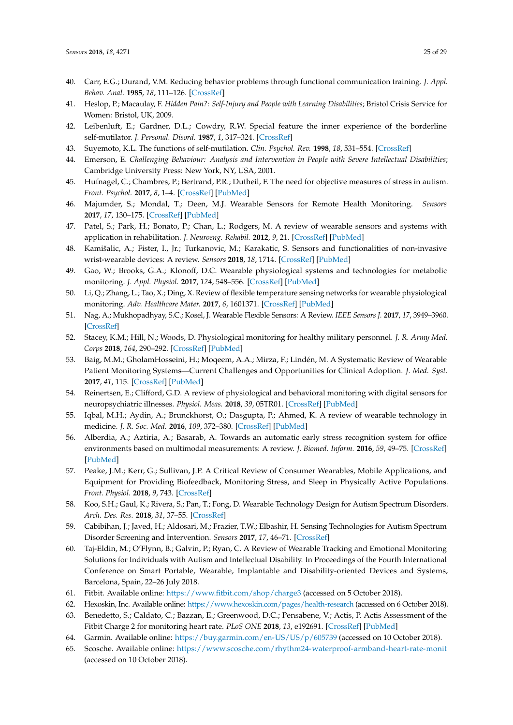- <span id="page-25-0"></span>40. Carr, E.G.; Durand, V.M. Reducing behavior problems through functional communication training. *J. Appl. Behav. Anal.* **1985**, *18*, 111–126. [\[CrossRef\]](http://dx.doi.org/10.1901/jaba.1985.18-111)
- <span id="page-25-1"></span>41. Heslop, P.; Macaulay, F. *Hidden Pain?: Self-Injury and People with Learning Disabilities*; Bristol Crisis Service for Women: Bristol, UK, 2009.
- <span id="page-25-2"></span>42. Leibenluft, E.; Gardner, D.L.; Cowdry, R.W. Special feature the inner experience of the borderline self-mutilator. *J. Personal. Disord.* **1987**, *1*, 317–324. [\[CrossRef\]](http://dx.doi.org/10.1521/pedi.1987.1.4.317)
- <span id="page-25-3"></span>43. Suyemoto, K.L. The functions of self-mutilation. *Clin. Psychol. Rev.* **1998**, *18*, 531–554. [\[CrossRef\]](http://dx.doi.org/10.1016/S0272-7358(97)00105-0)
- <span id="page-25-4"></span>44. Emerson, E. *Challenging Behaviour: Analysis and Intervention in People with Severe Intellectual Disabilities*; Cambridge University Press: New York, NY, USA, 2001.
- <span id="page-25-5"></span>45. Hufnagel, C.; Chambres, P.; Bertrand, P.R.; Dutheil, F. The need for objective measures of stress in autism. *Front. Psychol.* **2017**, *8*, 1–4. [\[CrossRef\]](http://dx.doi.org/10.3389/fpsyg.2017.00064) [\[PubMed\]](http://www.ncbi.nlm.nih.gov/pubmed/28191002)
- <span id="page-25-6"></span>46. Majumder, S.; Mondal, T.; Deen, M.J. Wearable Sensors for Remote Health Monitoring. *Sensors* **2017**, *17*, 130–175. [\[CrossRef\]](http://dx.doi.org/10.3390/s17010130) [\[PubMed\]](http://www.ncbi.nlm.nih.gov/pubmed/28085085)
- <span id="page-25-7"></span>47. Patel, S.; Park, H.; Bonato, P.; Chan, L.; Rodgers, M. A review of wearable sensors and systems with application in rehabilitation. *J. Neuroeng. Rehabil.* **2012**, *9*, 21. [\[CrossRef\]](http://dx.doi.org/10.1186/1743-0003-9-21) [\[PubMed\]](http://www.ncbi.nlm.nih.gov/pubmed/22520559)
- <span id="page-25-8"></span>48. Kamišalic, A.; Fister, I., Jr.; Turkanovic, M.; Karakatic, S. Sensors and functionalities of non-invasive wrist-wearable devices: A review. *Sensors* **2018**, *18*, 1714. [\[CrossRef\]](http://dx.doi.org/10.3390/s18061714) [\[PubMed\]](http://www.ncbi.nlm.nih.gov/pubmed/29799504)
- <span id="page-25-9"></span>49. Gao, W.; Brooks, G.A.; Klonoff, D.C. Wearable physiological systems and technologies for metabolic monitoring. *J. Appl. Physiol.* **2017**, *124*, 548–556. [\[CrossRef\]](http://dx.doi.org/10.1152/japplphysiol.00407.2017) [\[PubMed\]](http://www.ncbi.nlm.nih.gov/pubmed/28970200)
- <span id="page-25-10"></span>50. Li, Q.; Zhang, L.; Tao, X.; Ding, X. Review of flexible temperature sensing networks for wearable physiological monitoring. *Adv. Healthcare Mater.* **2017**, *6*, 1601371. [\[CrossRef\]](http://dx.doi.org/10.1002/adhm.201601371) [\[PubMed\]](http://www.ncbi.nlm.nih.gov/pubmed/28547895)
- <span id="page-25-11"></span>51. Nag, A.; Mukhopadhyay, S.C.; Kosel, J. Wearable Flexible Sensors: A Review. *IEEE Sensors J.* **2017**, *17*, 3949–3960. [\[CrossRef\]](http://dx.doi.org/10.1109/JSEN.2017.2705700)
- <span id="page-25-12"></span>52. Stacey, K.M.; Hill, N.; Woods, D. Physiological monitoring for healthy military personnel. *J. R. Army Med. Corps* **2018**, *164*, 290–292. [\[CrossRef\]](http://dx.doi.org/10.1136/jramc-2017-000851) [\[PubMed\]](http://www.ncbi.nlm.nih.gov/pubmed/29176002)
- <span id="page-25-13"></span>53. Baig, M.M.; GholamHosseini, H.; Moqeem, A.A.; Mirza, F.; Lindén, M. A Systematic Review of Wearable Patient Monitoring Systems—Current Challenges and Opportunities for Clinical Adoption. *J. Med. Syst.* **2017**, *41*, 115. [\[CrossRef\]](http://dx.doi.org/10.1007/s10916-017-0760-1) [\[PubMed\]](http://www.ncbi.nlm.nih.gov/pubmed/28631139)
- <span id="page-25-25"></span><span id="page-25-14"></span>54. Reinertsen, E.; Clifford, G.D. A review of physiological and behavioral monitoring with digital sensors for neuropsychiatric illnesses. *Physiol. Meas.* **2018**, *39*, 05TR01. [\[CrossRef\]](http://dx.doi.org/10.1088/1361-6579/aabf64) [\[PubMed\]](http://www.ncbi.nlm.nih.gov/pubmed/29671754)
- <span id="page-25-24"></span><span id="page-25-15"></span>55. Iqbal, M.H.; Aydin, A.; Brunckhorst, O.; Dasgupta, P.; Ahmed, K. A review of wearable technology in medicine. *J. R. Soc. Med.* **2016**, *109*, 372–380. [\[CrossRef\]](http://dx.doi.org/10.1177/0141076816663560) [\[PubMed\]](http://www.ncbi.nlm.nih.gov/pubmed/27729595)
- <span id="page-25-16"></span>56. Alberdia, A.; Aztiria, A.; Basarab, A. Towards an automatic early stress recognition system for office environments based on multimodal measurements: A review. *J. Biomed. Inform.* **2016**, *59*, 49–75. [\[CrossRef\]](http://dx.doi.org/10.1016/j.jbi.2015.11.007) [\[PubMed\]](http://www.ncbi.nlm.nih.gov/pubmed/26621099)
- <span id="page-25-17"></span>57. Peake, J.M.; Kerr, G.; Sullivan, J.P. A Critical Review of Consumer Wearables, Mobile Applications, and Equipment for Providing Biofeedback, Monitoring Stress, and Sleep in Physically Active Populations. *Front. Physiol.* **2018**, *9*, 743. [\[CrossRef\]](http://dx.doi.org/10.3389/fphys.2018.00743)
- <span id="page-25-18"></span>58. Koo, S.H.; Gaul, K.; Rivera, S.; Pan, T.; Fong, D. Wearable Technology Design for Autism Spectrum Disorders. *Arch. Des. Res.* **2018**, *31*, 37–55. [\[CrossRef\]](http://dx.doi.org/10.15187/adr.2018.02.31.1.37)
- <span id="page-25-19"></span>59. Cabibihan, J.; Javed, H.; Aldosari, M.; Frazier, T.W.; Elbashir, H. Sensing Technologies for Autism Spectrum Disorder Screening and Intervention. *Sensors* **2017**, *17*, 46–71. [\[CrossRef\]](http://dx.doi.org/10.3390/s17010046)
- <span id="page-25-20"></span>60. Taj-Eldin, M.; O'Flynn, B.; Galvin, P.; Ryan, C. A Review of Wearable Tracking and Emotional Monitoring Solutions for Individuals with Autism and Intellectual Disability. In Proceedings of the Fourth International Conference on Smart Portable, Wearable, Implantable and Disability-oriented Devices and Systems, Barcelona, Spain, 22–26 July 2018.
- <span id="page-25-21"></span>61. Fitbit. Available online: <https://www.fitbit.com/shop/charge3> (accessed on 5 October 2018).
- <span id="page-25-22"></span>62. Hexoskin, Inc. Available online: <https://www.hexoskin.com/pages/health-research> (accessed on 6 October 2018).
- <span id="page-25-23"></span>63. Benedetto, S.; Caldato, C.; Bazzan, E.; Greenwood, D.C.; Pensabene, V.; Actis, P. Actis Assessment of the Fitbit Charge 2 for monitoring heart rate. *PLoS ONE* **2018**, *13*, e192691. [\[CrossRef\]](http://dx.doi.org/10.1371/journal.pone.0192691) [\[PubMed\]](http://www.ncbi.nlm.nih.gov/pubmed/29489850)
- 64. Garmin. Available online: <https://buy.garmin.com/en-US/US/p/605739> (accessed on 10 October 2018).
- 65. Scosche. Available online: <https://www.scosche.com/rhythm24-waterproof-armband-heart-rate-monit> (accessed on 10 October 2018).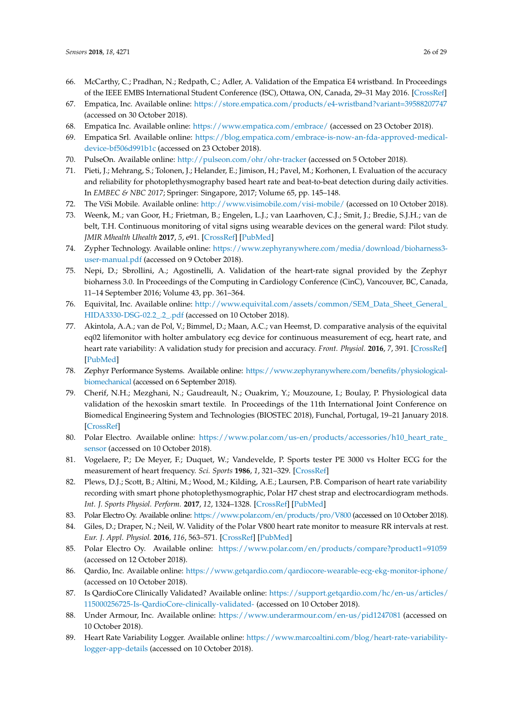- <span id="page-26-10"></span><span id="page-26-9"></span><span id="page-26-8"></span><span id="page-26-7"></span><span id="page-26-6"></span><span id="page-26-5"></span><span id="page-26-4"></span><span id="page-26-3"></span><span id="page-26-2"></span><span id="page-26-1"></span><span id="page-26-0"></span>66. McCarthy, C.; Pradhan, N.; Redpath, C.; Adler, A. Validation of the Empatica E4 wristband. In Proceedings of the IEEE EMBS International Student Conference (ISC), Ottawa, ON, Canada, 29–31 May 2016. [\[CrossRef\]](http://dx.doi.org/10.1109/EMBSISC.2016.7508621)
- <span id="page-26-11"></span>67. Empatica, Inc. Available online: <https://store.empatica.com/products/e4-wristband?variant=39588207747> (accessed on 30 October 2018).
- 68. Empatica Inc. Available online: <https://www.empatica.com/embrace/> (accessed on 23 October 2018).
- 69. Empatica Srl. Available online: [https://blog.empatica.com/embrace-is-now-an-fda-approved-medical](https://blog.empatica.com/embrace-is-now-an-fda-approved-medical-device-bf506d991b1c)[device-bf506d991b1c](https://blog.empatica.com/embrace-is-now-an-fda-approved-medical-device-bf506d991b1c) (accessed on 23 October 2018).
- <span id="page-26-12"></span>70. PulseOn. Available online: <http://pulseon.com/ohr/ohr-tracker> (accessed on 5 October 2018).
- <span id="page-26-13"></span>71. Pieti, J.; Mehrang, S.; Tolonen, J.; Helander, E.; Jimison, H.; Pavel, M.; Korhonen, I. Evaluation of the accuracy and reliability for photoplethysmography based heart rate and beat-to-beat detection during daily activities. In *EMBEC & NBC 2017*; Springer: Singapore, 2017; Volume 65, pp. 145–148.
- 72. The ViSi Mobile. Available online: <http://www.visimobile.com/visi-mobile/> (accessed on 10 October 2018).
- <span id="page-26-14"></span>73. Weenk, M.; van Goor, H.; Frietman, B.; Engelen, L.J.; van Laarhoven, C.J.; Smit, J.; Bredie, S.J.H.; van de belt, T.H. Continuous monitoring of vital signs using wearable devices on the general ward: Pilot study. *JMIR Mhealth Uhealth* **2017**, *5*, e91. [\[CrossRef\]](http://dx.doi.org/10.2196/mhealth.7208) [\[PubMed\]](http://www.ncbi.nlm.nih.gov/pubmed/28679490)
- <span id="page-26-15"></span>74. Zypher Technology. Available online: [https://www.zephyranywhere.com/media/download/bioharness3](https://www.zephyranywhere.com/media/download/bioharness3-user-manual.pdf) [user-manual.pdf](https://www.zephyranywhere.com/media/download/bioharness3-user-manual.pdf) (accessed on 9 October 2018).
- <span id="page-26-24"></span><span id="page-26-16"></span>75. Nepi, D.; Sbrollini, A.; Agostinelli, A. Validation of the heart-rate signal provided by the Zephyr bioharness 3.0. In Proceedings of the Computing in Cardiology Conference (CinC), Vancouver, BC, Canada, 11–14 September 2016; Volume 43, pp. 361–364.
- <span id="page-26-18"></span><span id="page-26-17"></span>76. Equivital, Inc. Available online: [http://www.equivital.com/assets/common/SEM\\_Data\\_Sheet\\_General\\_](http://www.equivital.com/assets/common/SEM_Data_Sheet_General_HIDA3330-DSG-02.2_.2_.pdf) [HIDA3330-DSG-02.2\\_.2\\_.pdf](http://www.equivital.com/assets/common/SEM_Data_Sheet_General_HIDA3330-DSG-02.2_.2_.pdf) (accessed on 10 October 2018).
- <span id="page-26-19"></span>77. Akintola, A.A.; van de Pol, V.; Bimmel, D.; Maan, A.C.; van Heemst, D. comparative analysis of the equivital eq02 lifemonitor with holter ambulatory ecg device for continuous measurement of ecg, heart rate, and heart rate variability: A validation study for precision and accuracy. *Front. Physiol.* **2016**, *7*, 391. [\[CrossRef\]](http://dx.doi.org/10.3389/fphys.2016.00391) [\[PubMed\]](http://www.ncbi.nlm.nih.gov/pubmed/27708585)
- <span id="page-26-21"></span><span id="page-26-20"></span>78. Zephyr Performance Systems. Available online: [https://www.zephyranywhere.com/benefits/physiological](https://www.zephyranywhere.com/benefits/physiological-biomechanical)[biomechanical](https://www.zephyranywhere.com/benefits/physiological-biomechanical) (accessed on 6 September 2018).
- <span id="page-26-22"></span>79. Cherif, N.H.; Mezghani, N.; Gaudreault, N.; Ouakrim, Y.; Mouzoune, I.; Boulay, P. Physiological data validation of the hexoskin smart textile. In Proceedings of the 11th International Joint Conference on Biomedical Engineering System and Technologies (BIOSTEC 2018), Funchal, Portugal, 19–21 January 2018. [\[CrossRef\]](http://dx.doi.org/10.5220/0006588001500156)
- <span id="page-26-23"></span>80. Polar Electro. Available online: [https://www.polar.com/us-en/products/accessories/h10\\_heart\\_rate\\_](https://www.polar.com/us-en/products/accessories/h10_heart_rate_sensor) [sensor](https://www.polar.com/us-en/products/accessories/h10_heart_rate_sensor) (accessed on 10 October 2018).
- 81. Vogelaere, P.; De Meyer, F.; Duquet, W.; Vandevelde, P. Sports tester PE 3000 vs Holter ECG for the measurement of heart frequency. *Sci. Sports* **1986**, *1*, 321–329. [\[CrossRef\]](http://dx.doi.org/10.1016/S0765-1597(87)80024-2)
- 82. Plews, D.J.; Scott, B.; Altini, M.; Wood, M.; Kilding, A.E.; Laursen, P.B. Comparison of heart rate variability recording with smart phone photoplethysmographic, Polar H7 chest strap and electrocardiogram methods. *Int. J. Sports Physiol. Perform.* **2017**, *12*, 1324–1328. [\[CrossRef\]](http://dx.doi.org/10.1123/ijspp.2016-0668) [\[PubMed\]](http://www.ncbi.nlm.nih.gov/pubmed/28290720)
- 83. Polar Electro Oy. Available online: <https://www.polar.com/en/products/pro/V800> (accessed on 10 October 2018).
- 84. Giles, D.; Draper, N.; Neil, W. Validity of the Polar V800 heart rate monitor to measure RR intervals at rest. *Eur. J. Appl. Physiol.* **2016**, *116*, 563–571. [\[CrossRef\]](http://dx.doi.org/10.1007/s00421-015-3303-9) [\[PubMed\]](http://www.ncbi.nlm.nih.gov/pubmed/26708360)
- 85. Polar Electro Oy. Available online: <https://www.polar.com/en/products/compare?product1=91059> (accessed on 12 October 2018).
- 86. Qardio, Inc. Available online: <https://www.getqardio.com/qardiocore-wearable-ecg-ekg-monitor-iphone/> (accessed on 10 October 2018).
- 87. Is QardioCore Clinically Validated? Available online: [https://support.getqardio.com/hc/en-us/articles/](https://support.getqardio.com/hc/en-us/articles/115000256725-Is-QardioCore-clinically-validated-) [115000256725-Is-QardioCore-clinically-validated-](https://support.getqardio.com/hc/en-us/articles/115000256725-Is-QardioCore-clinically-validated-) (accessed on 10 October 2018).
- 88. Under Armour, Inc. Available online: <https://www.underarmour.com/en-us/pid1247081> (accessed on 10 October 2018).
- 89. Heart Rate Variability Logger. Available online: [https://www.marcoaltini.com/blog/heart-rate-variability](https://www.marcoaltini.com/blog/heart-rate-variability-logger-app-details)[logger-app-details](https://www.marcoaltini.com/blog/heart-rate-variability-logger-app-details) (accessed on 10 October 2018).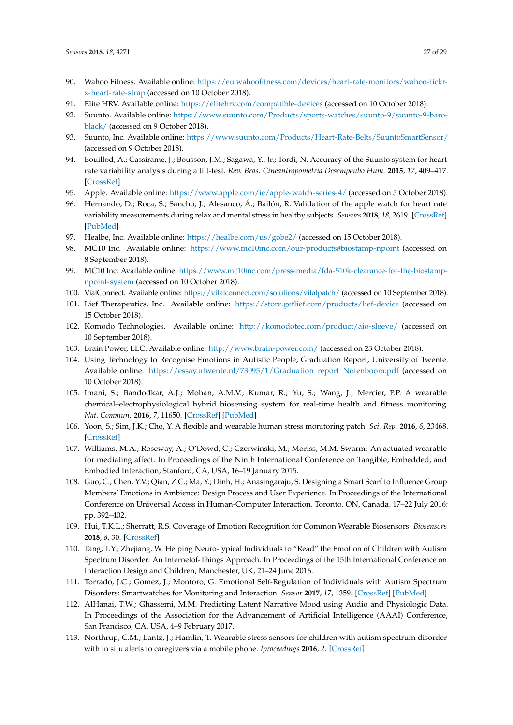- <span id="page-27-11"></span><span id="page-27-10"></span><span id="page-27-9"></span><span id="page-27-8"></span><span id="page-27-7"></span><span id="page-27-6"></span><span id="page-27-5"></span><span id="page-27-4"></span><span id="page-27-3"></span><span id="page-27-2"></span><span id="page-27-1"></span><span id="page-27-0"></span>90. Wahoo Fitness. Available online: [https://eu.wahoofitness.com/devices/heart-rate-monitors/wahoo-tickr](https://eu.wahoofitness.com/devices/heart-rate-monitors/wahoo-tickr-x-heart-rate-strap)[x-heart-rate-strap](https://eu.wahoofitness.com/devices/heart-rate-monitors/wahoo-tickr-x-heart-rate-strap) (accessed on 10 October 2018).
- 91. Elite HRV. Available online: <https://elitehrv.com/compatible-devices> (accessed on 10 October 2018).
- <span id="page-27-32"></span><span id="page-27-12"></span>92. Suunto. Available online: [https://www.suunto.com/Products/sports-watches/suunto-9/suunto-9-baro](https://www.suunto.com/Products/sports-watches/suunto-9/suunto-9-baro-black/)[black/](https://www.suunto.com/Products/sports-watches/suunto-9/suunto-9-baro-black/) (accessed on 9 October 2018).
- <span id="page-27-28"></span><span id="page-27-13"></span>93. Suunto, Inc. Available online: <https://www.suunto.com/Products/Heart-Rate-Belts/SuuntoSmartSensor/> (accessed on 9 October 2018).
- <span id="page-27-15"></span>94. Bouillod, A.; Cassirame, J.; Bousson, J.M.; Sagawa, Y., Jr.; Tordi, N. Accuracy of the Suunto system for heart rate variability analysis during a tilt-test. *Rev. Bras. Cineantropometria Desempenho Hum.* **2015**, *17*, 409–417. [\[CrossRef\]](http://dx.doi.org/10.5007/1980-0037.2015v17n4p409)
- <span id="page-27-23"></span>95. Apple. Available online: <https://www.apple.com/ie/apple-watch-series-4/> (accessed on 5 October 2018).
- <span id="page-27-24"></span><span id="page-27-14"></span>96. Hernando, D.; Roca, S.; Sancho, J.; Alesanco, Á.; Bailón, R. Validation of the apple watch for heart rate variability measurements during relax and mental stress in healthy subjects. *Sensors* **2018**, *18*, 2619. [\[CrossRef\]](http://dx.doi.org/10.3390/s18082619) [\[PubMed\]](http://www.ncbi.nlm.nih.gov/pubmed/30103376)
- <span id="page-27-25"></span>97. Healbe, Inc. Available online: <https://healbe.com/us/gobe2/> (accessed on 15 October 2018).
- 98. MC10 Inc. Available online: <https://www.mc10inc.com/our-products#biostamp-npoint> (accessed on 8 September 2018).
- <span id="page-27-26"></span>99. MC10 Inc. Available online: [https://www.mc10inc.com/press-media/fda-510k-clearance-for-the-biostamp](https://www.mc10inc.com/press-media/fda-510k-clearance-for-the-biostamp-npoint-system)[npoint-system](https://www.mc10inc.com/press-media/fda-510k-clearance-for-the-biostamp-npoint-system) (accessed on 10 October 2018).
- 100. VialConnect. Available online: <https://vitalconnect.com/solutions/vitalpatch/> (accessed on 10 September 2018).
- <span id="page-27-31"></span>101. Lief Therapeutics, Inc. Available online: <https://store.getlief.com/products/lief-device> (accessed on 15 October 2018).
- <span id="page-27-27"></span>102. Komodo Technologies. Available online: <http://komodotec.com/product/aio-sleeve/> (accessed on 10 September 2018).
- 103. Brain Power, LLC. Available online: <http://www.brain-power.com/> (accessed on 23 October 2018).
- <span id="page-27-29"></span><span id="page-27-16"></span>104. Using Technology to Recognise Emotions in Autistic People, Graduation Report, University of Twente. Available online: [https://essay.utwente.nl/73095/1/Graduation\\_report\\_Notenboom.pdf](https://essay.utwente.nl/73095/1/Graduation_report_Notenboom.pdf) (accessed on 10 October 2018).
- <span id="page-27-30"></span><span id="page-27-17"></span>105. Imani, S.; Bandodkar, A.J.; Mohan, A.M.V.; Kumar, R.; Yu, S.; Wang, J.; Mercier, P.P. A wearable chemical–electrophysiological hybrid biosensing system for real-time health and fitness monitoring. *Nat. Commun.* **2016**, *7*, 11650. [\[CrossRef\]](http://dx.doi.org/10.1038/ncomms11650) [\[PubMed\]](http://www.ncbi.nlm.nih.gov/pubmed/27212140)
- <span id="page-27-18"></span>106. Yoon, S.; Sim, J.K.; Cho, Y. A flexible and wearable human stress monitoring patch. *Sci. Rep.* **2016**, *6*, 23468. [\[CrossRef\]](http://dx.doi.org/10.1038/srep23468)
- <span id="page-27-19"></span>107. Williams, M.A.; Roseway, A.; O'Dowd, C.; Czerwinski, M.; Moriss, M.M. Swarm: An actuated wearable for mediating affect. In Proceedings of the Ninth International Conference on Tangible, Embedded, and Embodied Interaction, Stanford, CA, USA, 16–19 January 2015.
- <span id="page-27-20"></span>108. Guo, C.; Chen, Y.V.; Qian, Z.C.; Ma, Y.; Dinh, H.; Anasingaraju, S. Designing a Smart Scarf to Influence Group Members' Emotions in Ambience: Design Process and User Experience. In Proceedings of the International Conference on Universal Access in Human-Computer Interaction, Toronto, ON, Canada, 17–22 July 2016; pp. 392–402.
- <span id="page-27-21"></span>109. Hui, T.K.L.; Sherratt, R.S. Coverage of Emotion Recognition for Common Wearable Biosensors. *Biosensors* **2018**, *8*, 30. [\[CrossRef\]](http://dx.doi.org/10.3390/bios8020030)
- <span id="page-27-22"></span>110. Tang, T.Y.; Zhejiang, W. Helping Neuro-typical Individuals to "Read" the Emotion of Children with Autism Spectrum Disorder: An Internetof-Things Approach. In Proceedings of the 15th International Conference on Interaction Design and Children, Manchester, UK, 21–24 June 2016.
- 111. Torrado, J.C.; Gomez, J.; Montoro, G. Emotional Self-Regulation of Individuals with Autism Spectrum Disorders: Smartwatches for Monitoring and Interaction. *Sensor* **2017**, *17*, 1359. [\[CrossRef\]](http://dx.doi.org/10.3390/s17061359) [\[PubMed\]](http://www.ncbi.nlm.nih.gov/pubmed/28604607)
- 112. AlHanai, T.W.; Ghassemi, M.M. Predicting Latent Narrative Mood using Audio and Physiologic Data. In Proceedings of the Association for the Advancement of Artificial Intelligence (AAAI) Conference, San Francisco, CA, USA, 4–9 February 2017.
- 113. Northrup, C.M.; Lantz, J.; Hamlin, T. Wearable stress sensors for children with autism spectrum disorder with in situ alerts to caregivers via a mobile phone. *Iproceedings* **2016**, *2*. [\[CrossRef\]](http://dx.doi.org/10.2196/iproc.6119)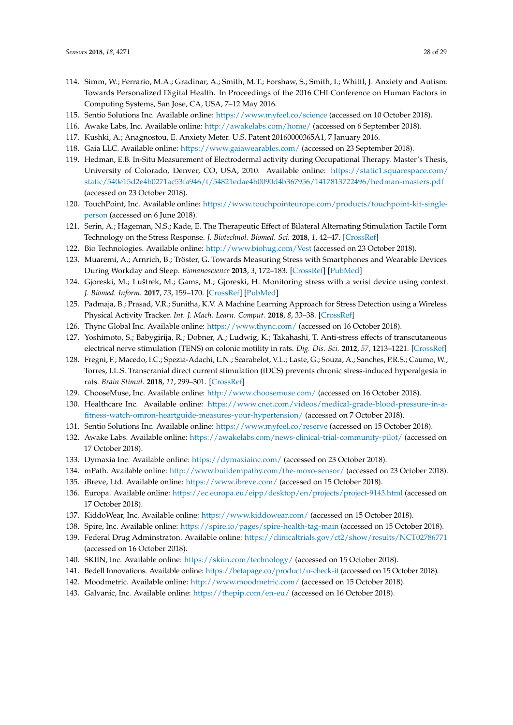- <span id="page-28-30"></span><span id="page-28-23"></span><span id="page-28-21"></span><span id="page-28-19"></span><span id="page-28-0"></span>114. Simm, W.; Ferrario, M.A.; Gradinar, A.; Smith, M.T.; Forshaw, S.; Smith, I.; Whittl, J. Anxiety and Autism: Towards Personalized Digital Health. In Proceedings of the 2016 CHI Conference on Human Factors in Computing Systems, San Jose, CA, USA, 7–12 May 2016.
- <span id="page-28-32"></span><span id="page-28-1"></span>115. Sentio Solutions Inc. Available online: <https://www.myfeel.co/science> (accessed on 10 October 2018).
- <span id="page-28-2"></span>116. Awake Labs, Inc. Available online: <http://awakelabs.com/home/> (accessed on 6 September 2018).
- <span id="page-28-3"></span>117. Kushki, A.; Anagnostou, E. Anxiety Meter. U.S. Patent 20160000365A1, 7 January 2016.
- <span id="page-28-4"></span>118. Gaia LLC. Available online: <https://www.gaiawearables.com/> (accessed on 23 September 2018).
- <span id="page-28-33"></span><span id="page-28-5"></span>119. Hedman, E.B. In-Situ Measurement of Electrodermal activity during Occupational Therapy. Master's Thesis, University of Colorado, Denver, CO, USA, 2010. Available online: [https://static1.squarespace.com/](https://static1.squarespace.com/static/540e15d2e4b0271ac53fa946/t/54821edae4b0090d4b367956/1417813722496/hedman-masters.pdf) [static/540e15d2e4b0271ac53fa946/t/54821edae4b0090d4b367956/1417813722496/hedman-masters.pdf](https://static1.squarespace.com/static/540e15d2e4b0271ac53fa946/t/54821edae4b0090d4b367956/1417813722496/hedman-masters.pdf) (accessed on 23 October 2018).
- <span id="page-28-34"></span><span id="page-28-17"></span><span id="page-28-6"></span>120. TouchPoint, Inc. Available online: [https://www.touchpointeurope.com/products/touchpoint-kit-single](https://www.touchpointeurope.com/products/touchpoint-kit-single-person)[person](https://www.touchpointeurope.com/products/touchpoint-kit-single-person) (accessed on 6 June 2018).
- <span id="page-28-18"></span><span id="page-28-7"></span>121. Serin, A.; Hageman, N.S.; Kade, E. The Therapeutic Effect of Bilateral Alternating Stimulation Tactile Form Technology on the Stress Response. *J. Biotechnol. Biomed. Sci.* **2018**, *1*, 42–47. [\[CrossRef\]](http://dx.doi.org/10.14302/issn.2576-6694.jbbs-18-1887)
- <span id="page-28-20"></span><span id="page-28-8"></span>122. Bio Technologies. Available online: <http://www.biohug.com/Vest> (accessed on 23 October 2018).
- <span id="page-28-24"></span><span id="page-28-22"></span><span id="page-28-9"></span>123. Muaremi, A.; Arnrich, B.; Tröster, G. Towards Measuring Stress with Smartphones and Wearable Devices During Workday and Sleep. *Bionanoscience* **2013**, *3*, 172–183. [\[CrossRef\]](http://dx.doi.org/10.1007/s12668-013-0089-2) [\[PubMed\]](http://www.ncbi.nlm.nih.gov/pubmed/25530929)
- <span id="page-28-10"></span>124. Gjoreski, M.; Luštrek, M.; Gams, M.; Gjoreski, H. Monitoring stress with a wrist device using context. *J. Biomed. Inform.* **2017**, *73*, 159–170. [\[CrossRef\]](http://dx.doi.org/10.1016/j.jbi.2017.08.006) [\[PubMed\]](http://www.ncbi.nlm.nih.gov/pubmed/28803947)
- <span id="page-28-25"></span><span id="page-28-11"></span>125. Padmaja, B.; Prasad, V.R.; Sunitha, K.V. A Machine Learning Approach for Stress Detection using a Wireless Physical Activity Tracker. *Int. J. Mach. Learn. Comput.* **2018**, *8*, 33–38. [\[CrossRef\]](http://dx.doi.org/10.18178/ijmlc.2018.8.1.659)
- <span id="page-28-26"></span><span id="page-28-12"></span>126. Thync Global Inc. Available online: <https://www.thync.com/> (accessed on 16 October 2018).
- <span id="page-28-27"></span><span id="page-28-13"></span>127. Yoshimoto, S.; Babygirija, R.; Dobner, A.; Ludwig, K.; Takahashi, T. Anti-stress effects of transcutaneous electrical nerve stimulation (TENS) on colonic motility in rats. *Dig. Dis. Sci.* **2012**, *57*, 1213–1221. [\[CrossRef\]](http://dx.doi.org/10.1007/s10620-012-2040-8)
- <span id="page-28-31"></span><span id="page-28-29"></span><span id="page-28-28"></span><span id="page-28-14"></span>128. Fregni, F.; Macedo, I.C.; Spezia-Adachi, L.N.; Scarabelot, V.L.; Laste, G.; Souza, A.; Sanches, P.R.S.; Caumo, W.; Torres, I.L.S. Transcranial direct current stimulation (tDCS) prevents chronic stress-induced hyperalgesia in rats. *Brain Stimul.* **2018**, *11*, 299–301. [\[CrossRef\]](http://dx.doi.org/10.1016/j.brs.2017.11.009)
- <span id="page-28-16"></span><span id="page-28-15"></span>129. ChooseMuse, Inc. Available online: <http://www.choosemuse.com/> (accessed on 16 October 2018).
- 130. Healthcare Inc. Available online: [https://www.cnet.com/videos/medical-grade-blood-pressure-in-a](https://www.cnet.com/videos/medical-grade-blood-pressure-in-a-fitness-watch-omron-heartguide-measures-your-hypertension/)[fitness-watch-omron-heartguide-measures-your-hypertension/](https://www.cnet.com/videos/medical-grade-blood-pressure-in-a-fitness-watch-omron-heartguide-measures-your-hypertension/) (accessed on 7 October 2018).
- 131. Sentio Solutions Inc. Available online: <https://www.myfeel.co/reserve> (accessed on 15 October 2018).
- 132. Awake Labs. Available online: <https://awakelabs.com/news-clinical-trial-community-pilot/> (accessed on 17 October 2018).
- 133. Dymaxia Inc. Available online: <https://dymaxiainc.com/> (accessed on 23 October 2018).
- 134. mPath. Available online: <http://www.buildempathy.com/the-moxo-sensor/> (accessed on 23 October 2018).
- 135. iBreve, Ltd. Available online: <https://www.ibreve.com/> (accessed on 15 October 2018).
- 136. Europa. Available online: <https://ec.europa.eu/eipp/desktop/en/projects/project-9143.html> (accessed on 17 October 2018).
- 137. KiddoWear, Inc. Available online: <https://www.kiddowear.com/> (accessed on 15 October 2018).
- 138. Spire, Inc. Available online: <https://spire.io/pages/spire-health-tag-main> (accessed on 15 October 2018).
- 139. Federal Drug Adminstraton. Available online: <https://clinicaltrials.gov/ct2/show/results/NCT02786771> (accessed on 16 October 2018).
- 140. SKIIN, Inc. Available online: [https://skiin.com/technology/](https://skiin.com/technology /) (accessed on 15 October 2018).
- 141. Bedell Innovations. Available online: <https://betapage.co/product/u-check-it> (accessed on 15 October 2018).
- 142. Moodmetric. Available online: <http://www.moodmetric.com/> (accessed on 15 October 2018).
- 143. Galvanic, Inc. Available online: <https://thepip.com/en-eu/> (accessed on 16 October 2018).